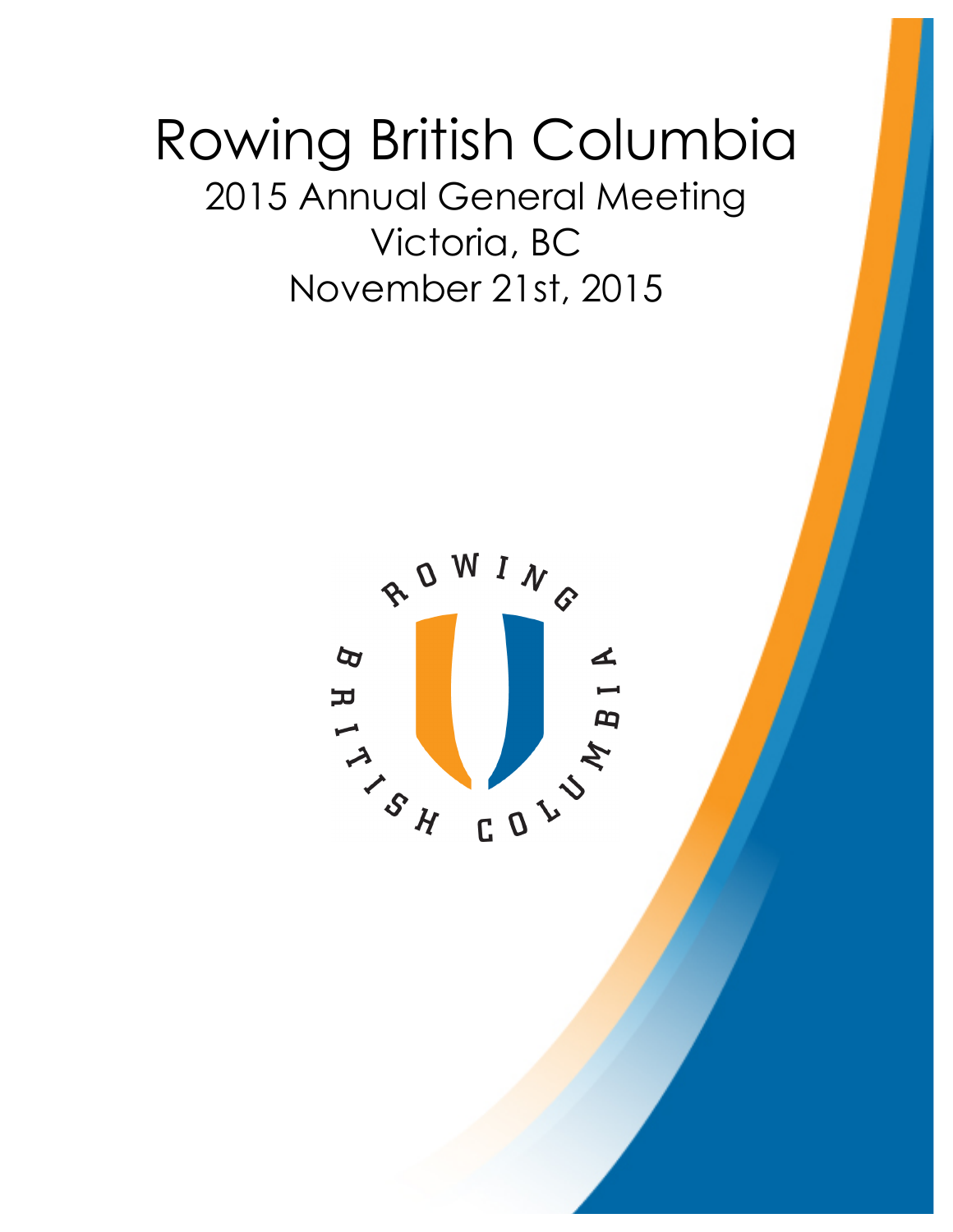# Rowing British Columbia 2015 Annual General Meeting Victoria, BC November 21st, 2015

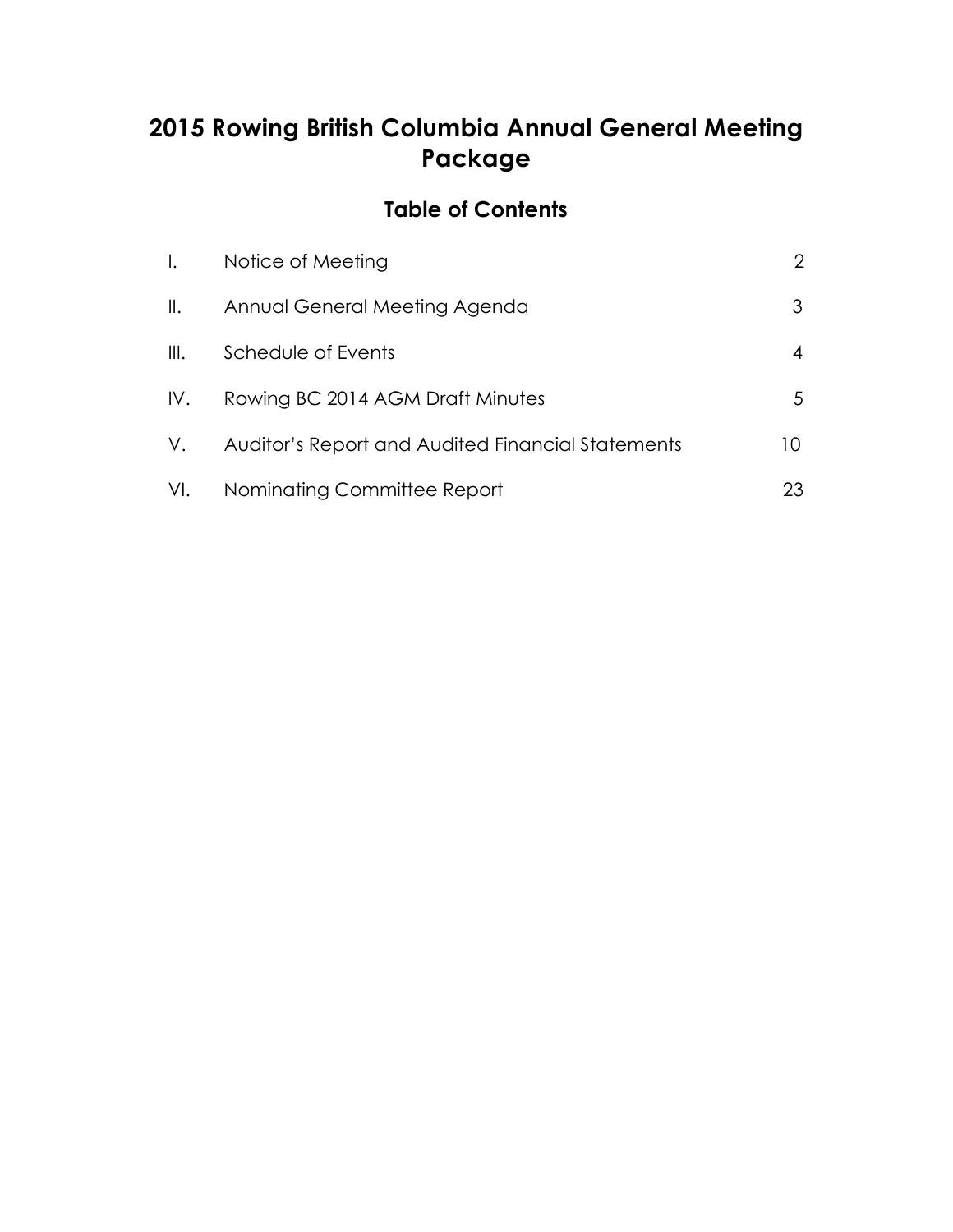# **2015 Rowing British Columbia Annual General Meeting Package**

# **Table of Contents**

| $\mathbf{L}$   | Notice of Meeting                                 | $\overline{2}$ |
|----------------|---------------------------------------------------|----------------|
| $\mathbb{I}$ . | Annual General Meeting Agenda                     | 3              |
| $\mathbb{H}.$  | Schedule of Events                                |                |
| IV.            | Rowing BC 2014 AGM Draft Minutes                  | 5              |
| V.             | Auditor's Report and Audited Financial Statements | 10             |
|                | VI. Nominating Committee Report                   | 23             |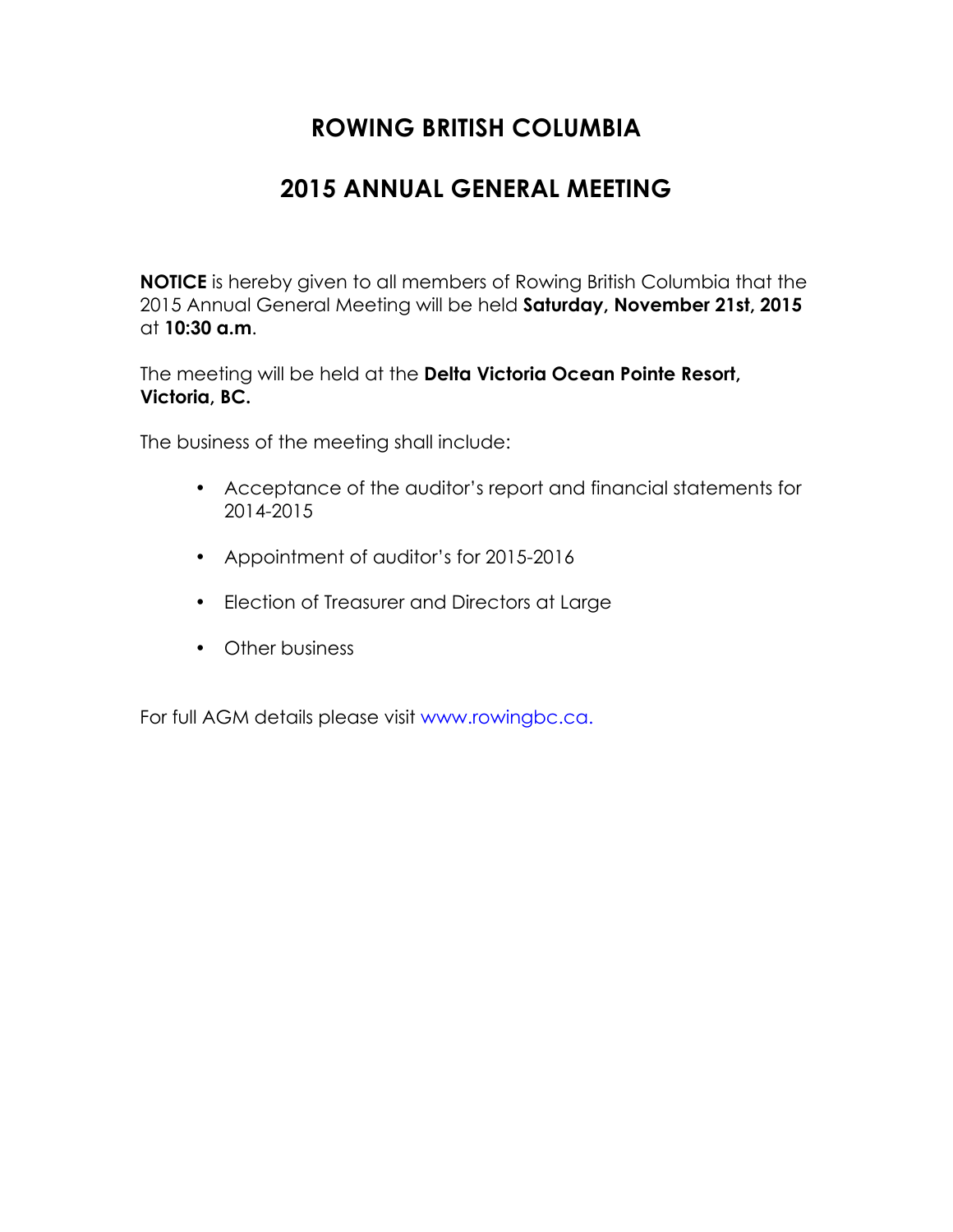# **2015 ANNUAL GENERAL MEETING**

<span id="page-2-0"></span>**NOTICE** is hereby given to all members of Rowing British Columbia that the 2015 Annual General Meeting will be held **Saturday, November 21st, 2015** at **10:30 a.m**.

The meeting will be held at the **Delta Victoria Ocean Pointe Resort, Victoria, BC.**

The business of the meeting shall include:

- Acceptance of the auditor's report and financial statements for 2014-2015
- Appointment of auditor's for 2015-2016
- Election of Treasurer and Directors at Large
- Other business

For full AGM details please visit www.rowingbc.ca.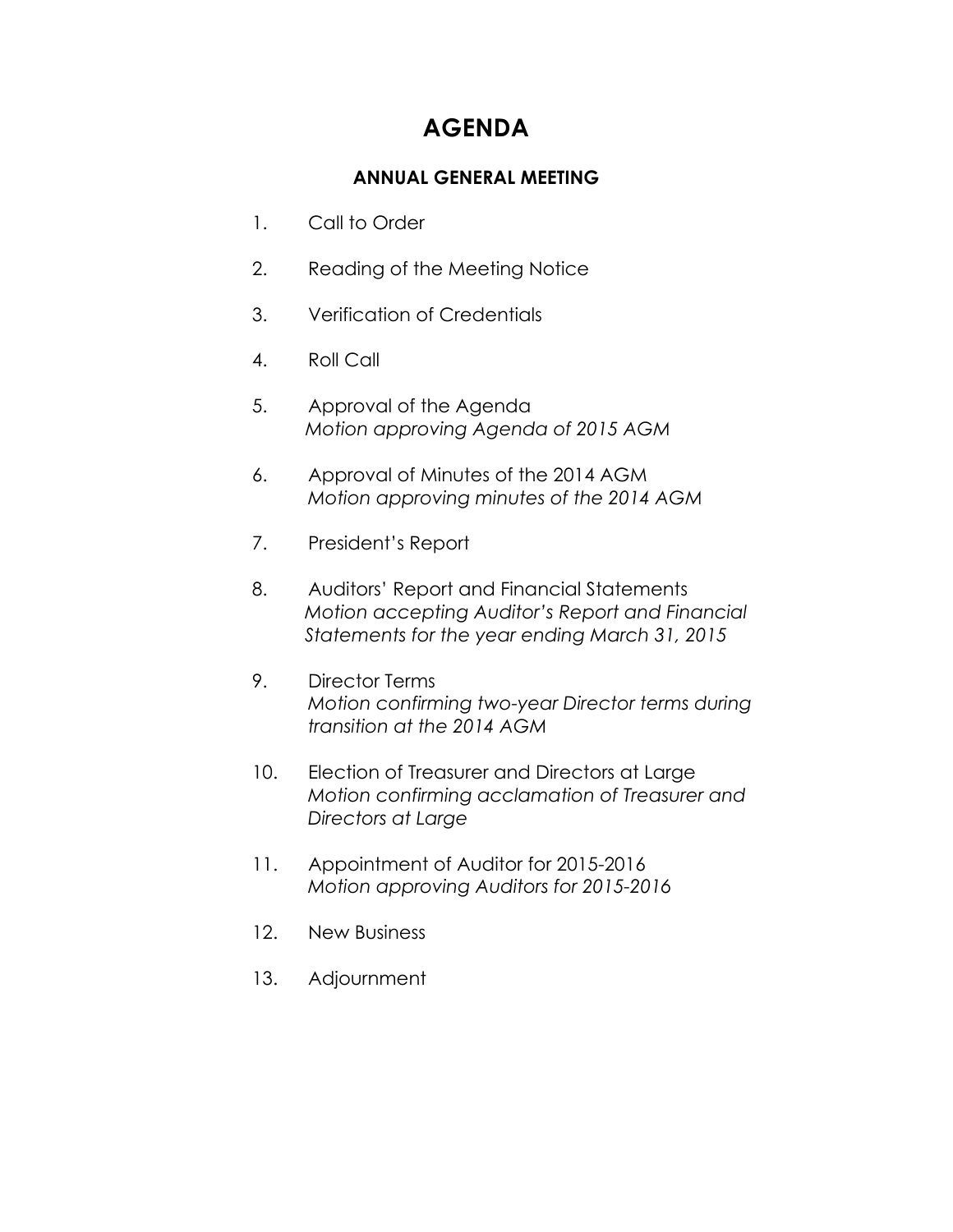# **AGENDA**

# **ANNUAL GENERAL MEETING**

- <span id="page-3-0"></span>1. Call to Order
- 2. Reading of the Meeting Notice
- 3. Verification of Credentials
- 4. Roll Call
- 5. Approval of the Agenda *Motion approving Agenda of 2015 AGM*
- 6. Approval of Minutes of the 2014 AGM *Motion approving minutes of the 2014 AGM*
- 7. President's Report
- 8. Auditors' Report and Financial Statements *Motion accepting Auditor's Report and Financial Statements for the year ending March 31, 2015*
- 9. Director Terms *Motion confirming two-year Director terms during transition at the 2014 AGM*
- 10. Election of Treasurer and Directors at Large *Motion confirming acclamation of Treasurer and Directors at Large*
- 11. Appointment of Auditor for 2015-2016 *Motion approving Auditors for 2015-2016*
- 12. New Business
- 13. Adjournment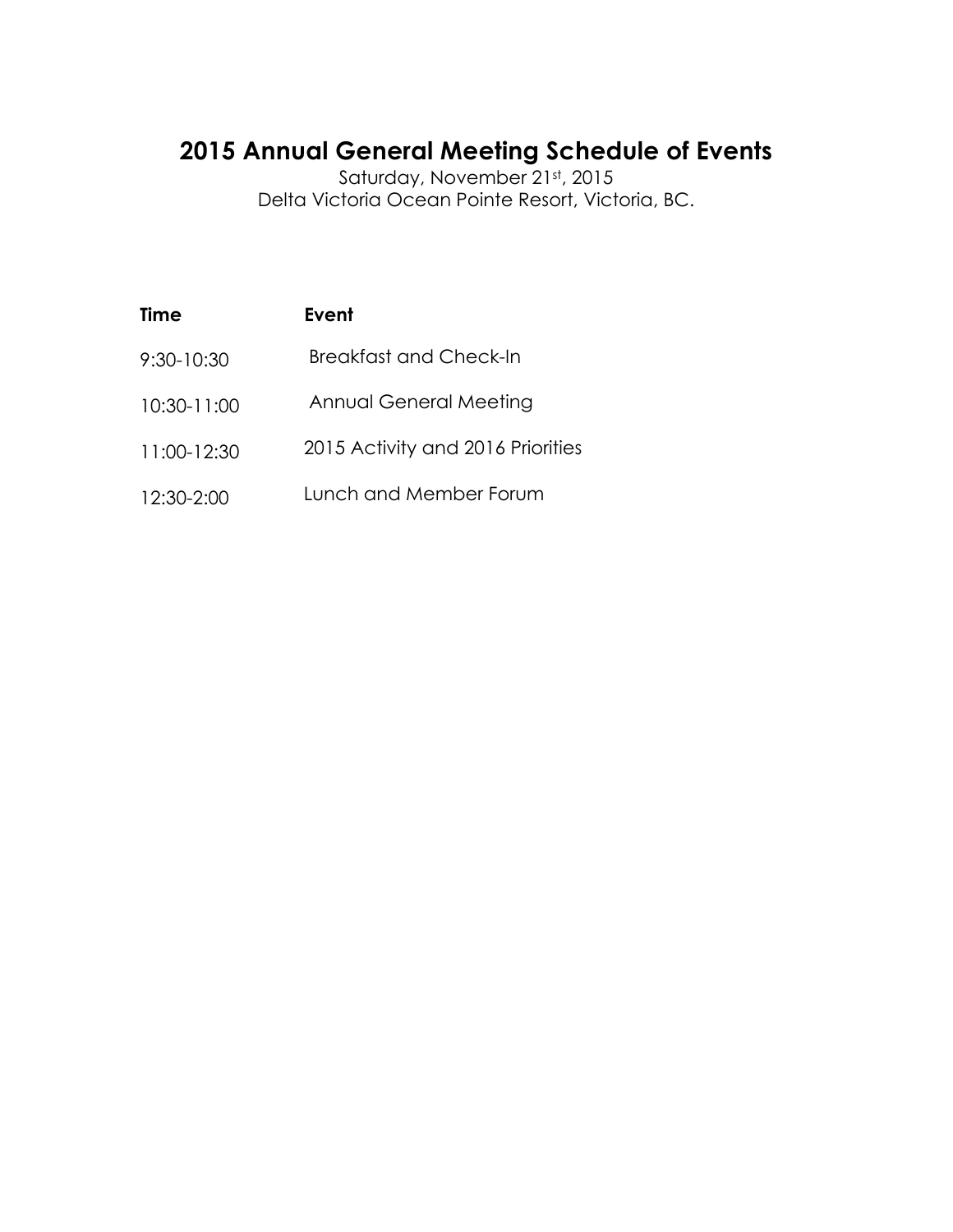# <span id="page-4-0"></span>**2015 Annual General Meeting Schedule of Events**

Saturday, November 21st, 2015 Delta Victoria Ocean Pointe Resort, Victoria, BC.

| Time        | Event                             |
|-------------|-----------------------------------|
| 9:30-10:30  | <b>Breakfast and Check-In</b>     |
| 10:30-11:00 | <b>Annual General Meeting</b>     |
| 11:00-12:30 | 2015 Activity and 2016 Priorities |
| 12:30-2:00  | Lunch and Member Forum            |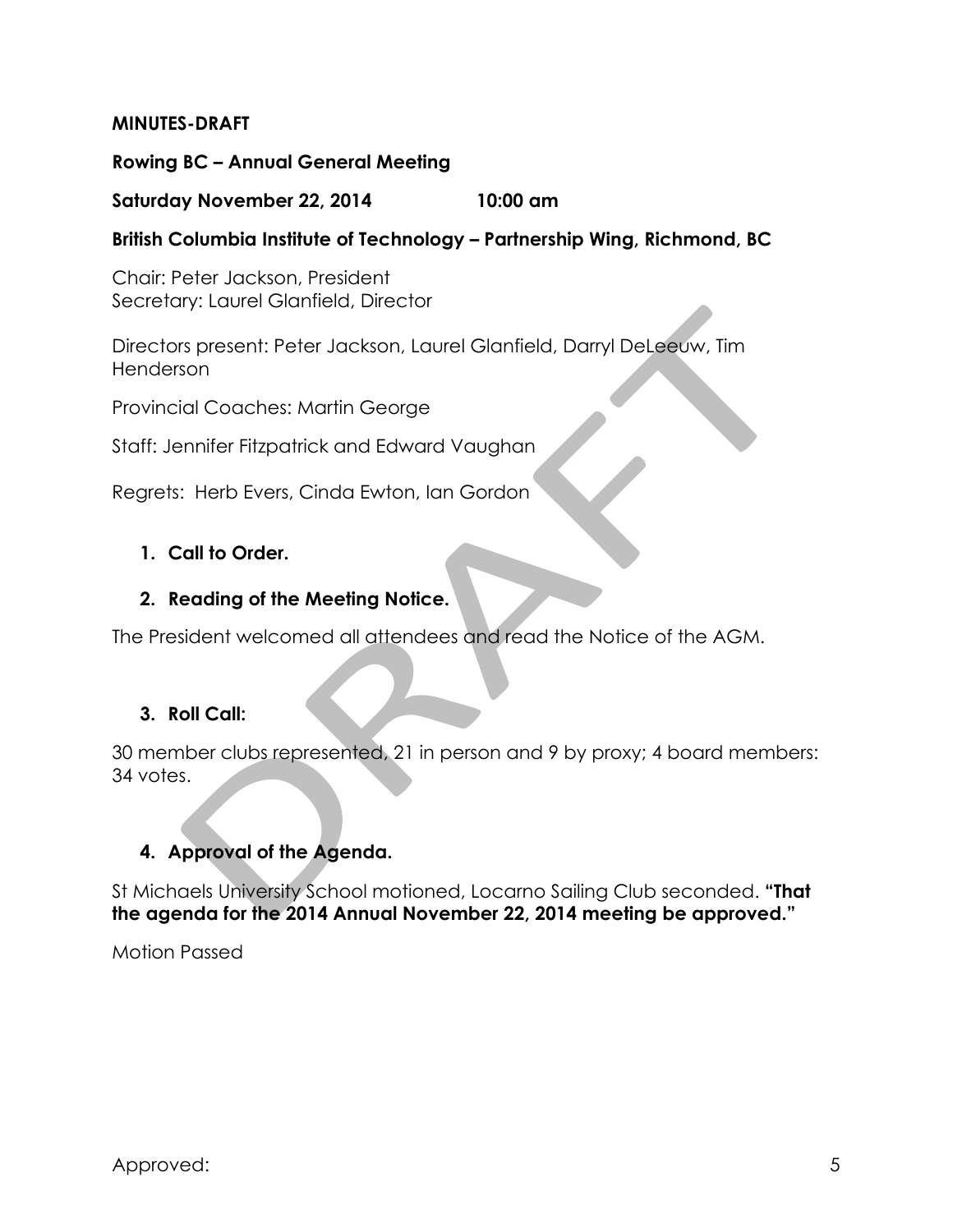# <span id="page-5-0"></span>**MINUTES-DRAFT**

# **Rowing BC – Annual General Meeting**

# **Saturday November 22, 2014 10:00 am**

# **British Columbia Institute of Technology – Partnership Wing, Richmond, BC**

Chair: Peter Jackson, President Secretary: Laurel Glanfield, Director

Directors present: Peter Jackson, Laurel Glanfield, Darryl DeLeeuw, Tim Henderson

Provincial Coaches: Martin George

Staff: Jennifer Fitzpatrick and Edward Vaughan

Regrets: Herb Evers, Cinda Ewton, Ian Gordon

# **1. Call to Order.**

# **2. Reading of the Meeting Notice.**

The President welcomed all attendees and read the Notice of the AGM.

# **3. Roll Call:**

30 member clubs represented, 21 in person and 9 by proxy; 4 board members: 34 votes.

# **4. Approval of the Agenda.**

St Michaels University School motioned, Locarno Sailing Club seconded. **"That the agenda for the 2014 Annual November 22, 2014 meeting be approved."**

Motion Passed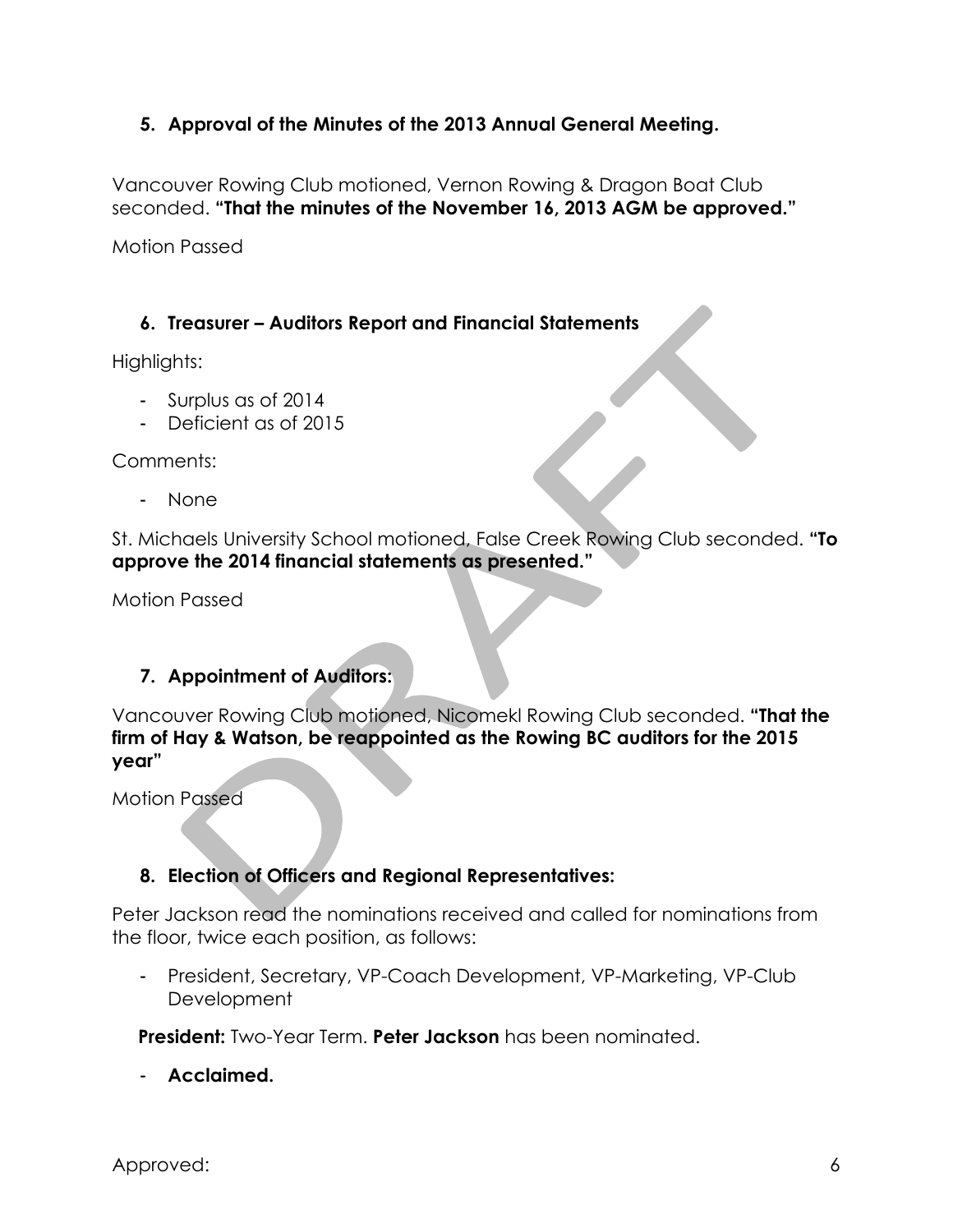# **5. Approval of the Minutes of the 2013 Annual General Meeting.**

Vancouver Rowing Club motioned, Vernon Rowing & Dragon Boat Club seconded. **"That the minutes of the November 16, 2013 AGM be approved."**

Motion Passed

# **6. Treasurer – Auditors Report and Financial Statements**

Highlights:

- Surplus as of 2014
- Deficient as of 2015

Comments:

- None

St. Michaels University School motioned, False Creek Rowing Club seconded. **"To approve the 2014 financial statements as presented."**

Motion Passed

# **7. Appointment of Auditors:**

Vancouver Rowing Club motioned, Nicomekl Rowing Club seconded. **"That the firm of Hay & Watson, be reappointed as the Rowing BC auditors for the 2015 year"**

Motion Passed

# **8. Election of Officers and Regional Representatives:**

Peter Jackson read the nominations received and called for nominations from the floor, twice each position, as follows:

President, Secretary, VP-Coach Development, VP-Marketing, VP-Club Development

**President:** Two-Year Term. **Peter Jackson** has been nominated.

- **Acclaimed.**

Approved: 6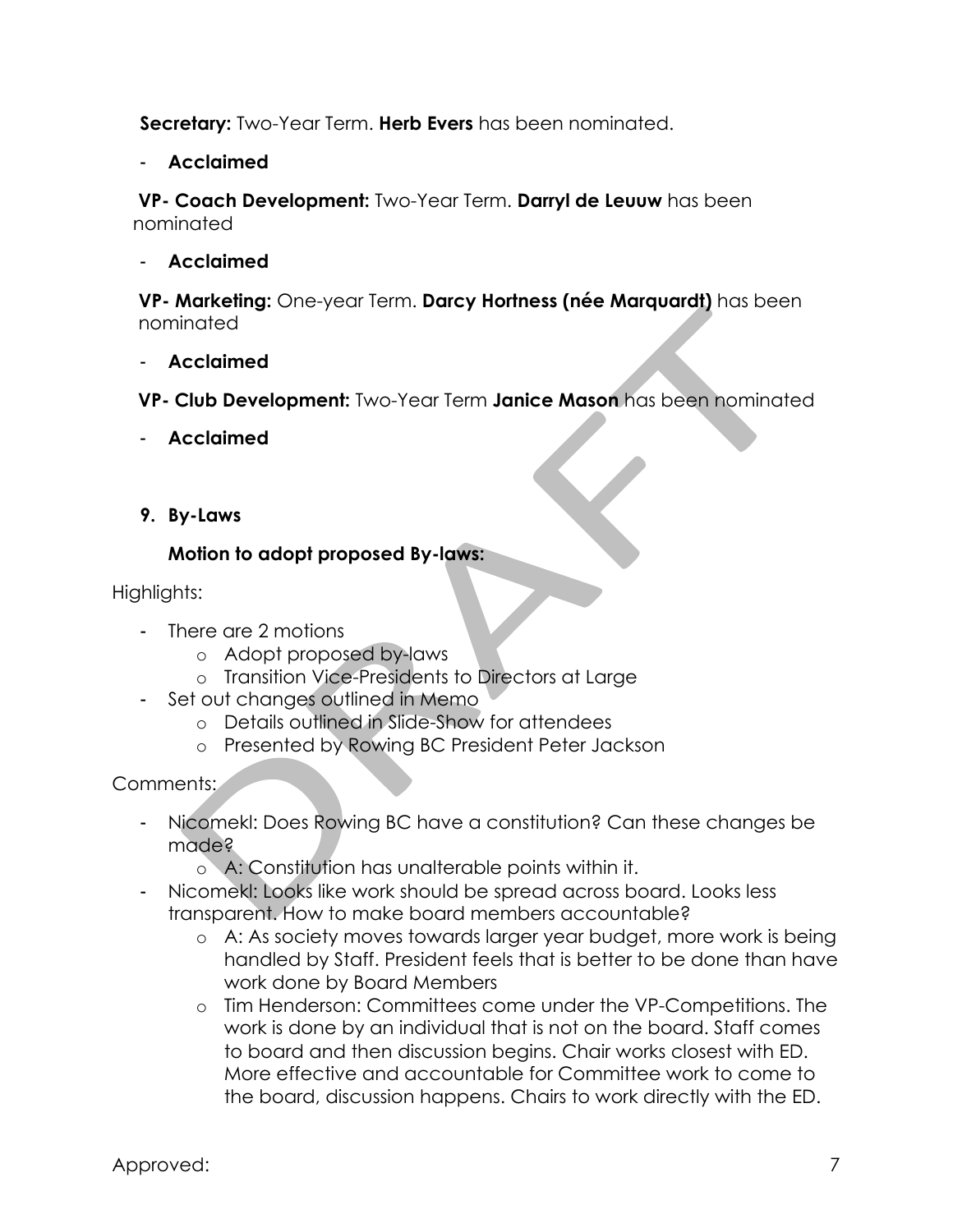**Secretary:** Two-Year Term. **Herb Evers** has been nominated.

- **Acclaimed**

**VP- Coach Development:** Two-Year Term. **Darryl de Leuuw** has been nominated

- **Acclaimed**

**VP- Marketing:** One-year Term. **Darcy Hortness (née Marquardt)** has been nominated

- **Acclaimed**

 **VP- Club Development:** Two-Year Term **Janice Mason** has been nominated

- **Acclaimed**
- **9. By-Laws**

# **Motion to adopt proposed By-laws:**

Highlights:

- There are 2 motions
	- o Adopt proposed by-laws
	- o Transition Vice-Presidents to Directors at Large
- Set out changes outlined in Memo
	- o Details outlined in Slide-Show for attendees
	- o Presented by Rowing BC President Peter Jackson

# Comments:

- Nicomekl: Does Rowing BC have a constitution? Can these changes be made?
	- o A: Constitution has unalterable points within it.
- Nicomekl: Looks like work should be spread across board. Looks less transparent. How to make board members accountable?
	- o A: As society moves towards larger year budget, more work is being handled by Staff. President feels that is better to be done than have work done by Board Members
	- o Tim Henderson: Committees come under the VP-Competitions. The work is done by an individual that is not on the board. Staff comes to board and then discussion begins. Chair works closest with ED. More effective and accountable for Committee work to come to the board, discussion happens. Chairs to work directly with the ED.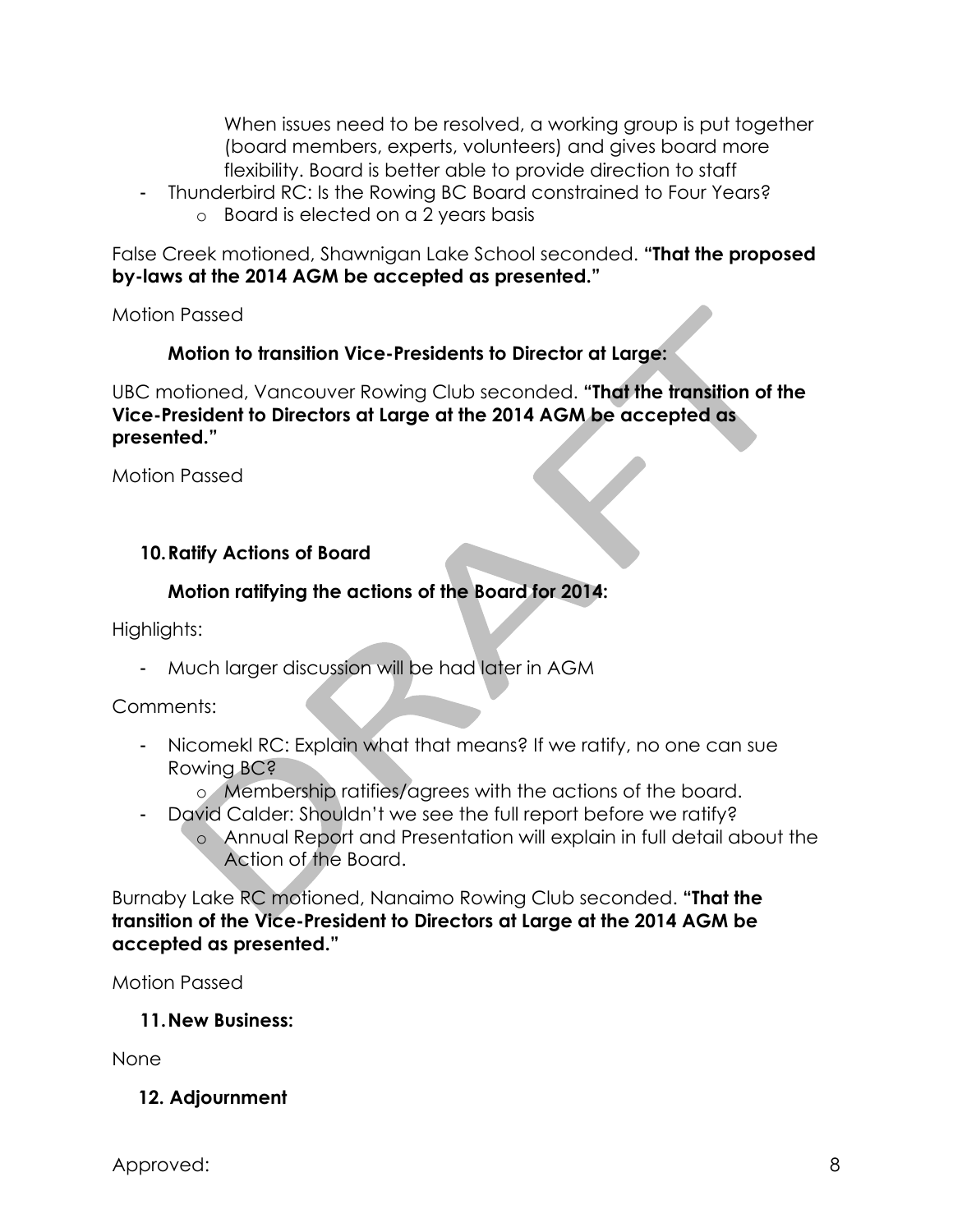When issues need to be resolved, a working group is put together (board members, experts, volunteers) and gives board more flexibility. Board is better able to provide direction to staff

- Thunderbird RC: Is the Rowing BC Board constrained to Four Years?
	- o Board is elected on a 2 years basis

False Creek motioned, Shawnigan Lake School seconded. **"That the proposed by-laws at the 2014 AGM be accepted as presented."**

Motion Passed

# **Motion to transition Vice-Presidents to Director at Large:**

UBC motioned, Vancouver Rowing Club seconded. **"That the transition of the Vice-President to Directors at Large at the 2014 AGM be accepted as presented."**

Motion Passed

# **10.Ratify Actions of Board**

# **Motion ratifying the actions of the Board for 2014:**

Highlights:

- Much larger discussion will be had later in AGM

Comments:

- Nicomekl RC: Explain what that means? If we ratify, no one can sue Rowing BC?
	- o Membership ratifies/agrees with the actions of the board.
- David Calder: Shouldn't we see the full report before we ratify?
	- o Annual Report and Presentation will explain in full detail about the Action of the Board.

Burnaby Lake RC motioned, Nanaimo Rowing Club seconded. **"That the transition of the Vice-President to Directors at Large at the 2014 AGM be accepted as presented."**

Motion Passed

**11.New Business:**

None

# **12. Adjournment**

Approved: 8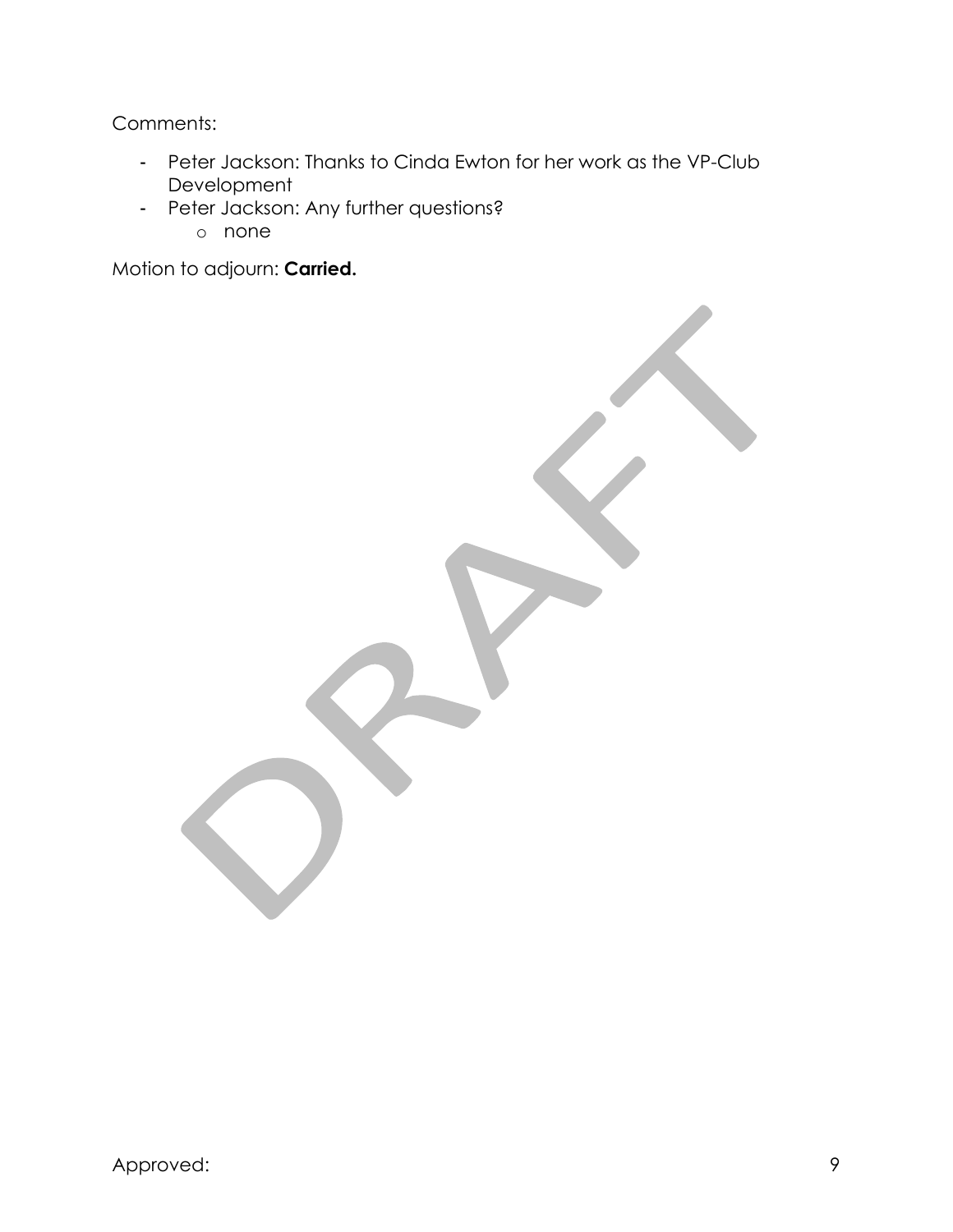Comments:

- Peter Jackson: Thanks to Cinda Ewton for her work as the VP-Club Development
- Peter Jackson: Any further questions?
	- o none

Motion to adjourn: **Carried.**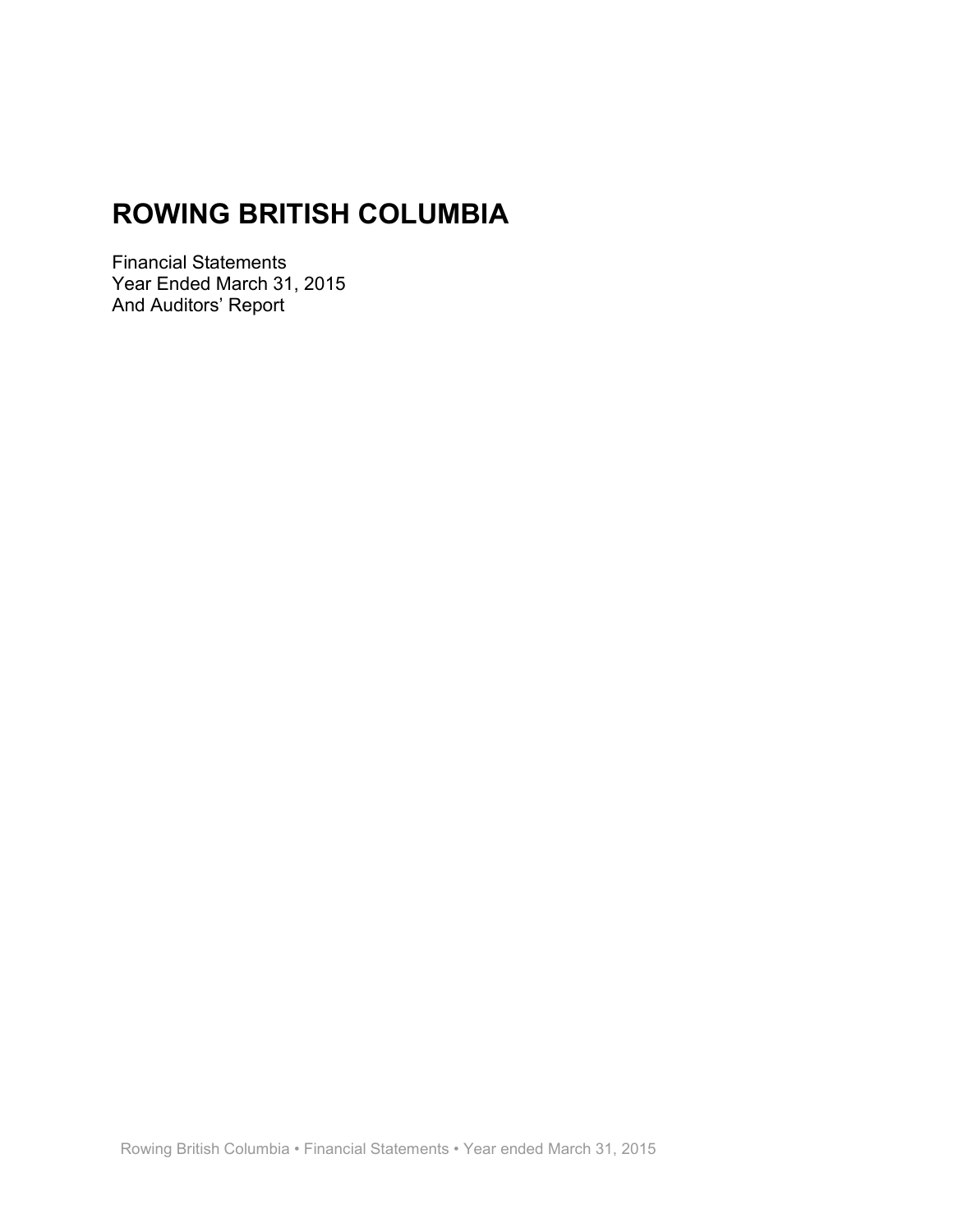<span id="page-10-0"></span>**Financial Statements** Year Ended March 31, 2015 And Auditors' Report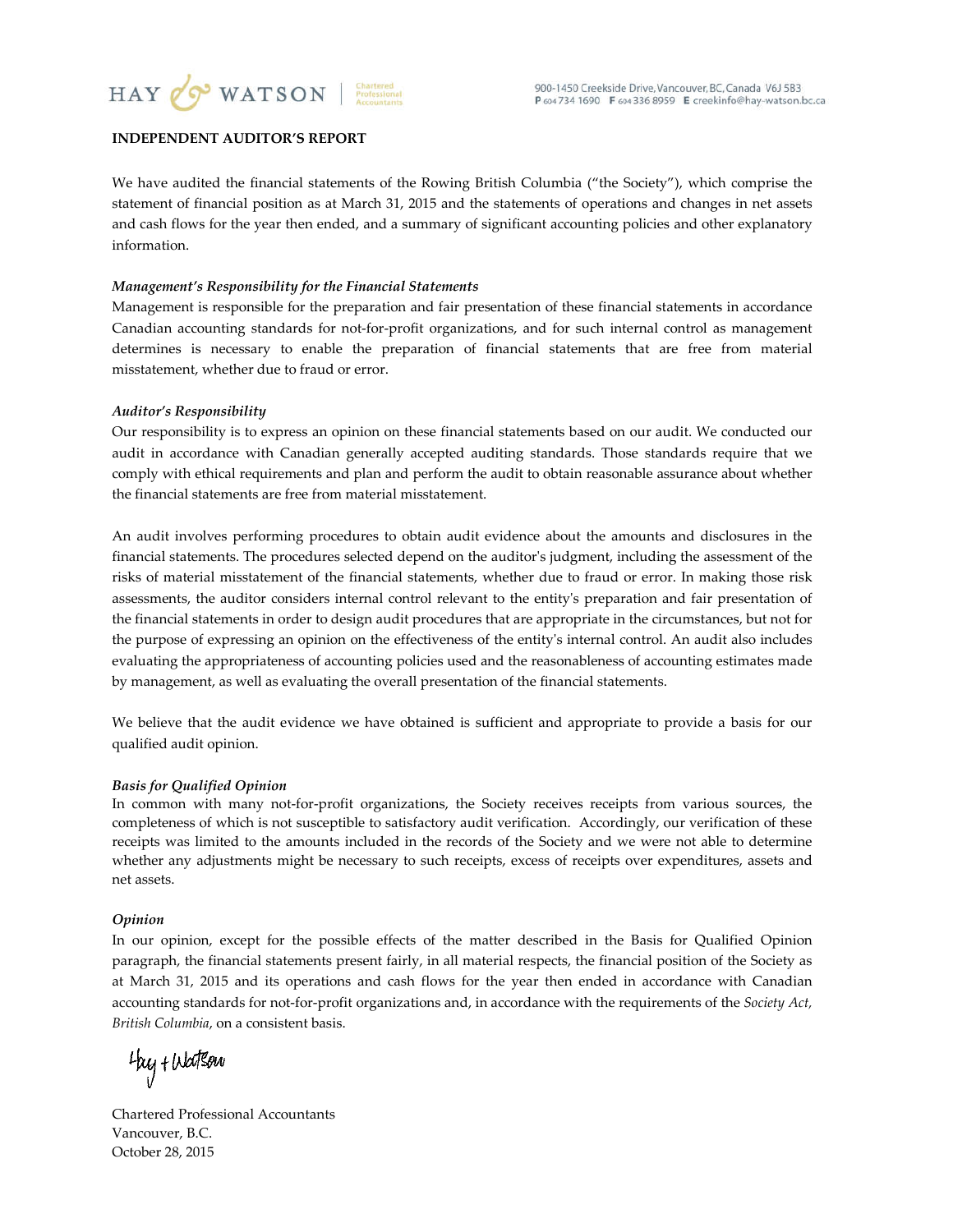

#### **INDEPENDENT AUDITOR'S REPORT**

We have audited the financial statements of the Rowing British Columbia ("the Society"), which comprise the statement of financial position as at March 31, 2015 and the statements of operations and changes in net assets and cash flows for the year then ended, and a summary of significant accounting policies and other explanatory information.

#### Management's Responsibility for the Financial Statements

Management is responsible for the preparation and fair presentation of these financial statements in accordance Canadian accounting standards for not-for-profit organizations, and for such internal control as management determines is necessary to enable the preparation of financial statements that are free from material misstatement, whether due to fraud or error.

#### **Auditor's Responsibility**

Our responsibility is to express an opinion on these financial statements based on our audit. We conducted our audit in accordance with Canadian generally accepted auditing standards. Those standards require that we comply with ethical requirements and plan and perform the audit to obtain reasonable assurance about whether the financial statements are free from material misstatement.

An audit involves performing procedures to obtain audit evidence about the amounts and disclosures in the financial statements. The procedures selected depend on the auditor's judgment, including the assessment of the risks of material misstatement of the financial statements, whether due to fraud or error. In making those risk assessments, the auditor considers internal control relevant to the entity's preparation and fair presentation of the financial statements in order to design audit procedures that are appropriate in the circumstances, but not for the purpose of expressing an opinion on the effectiveness of the entity's internal control. An audit also includes evaluating the appropriateness of accounting policies used and the reasonableness of accounting estimates made by management, as well as evaluating the overall presentation of the financial statements.

We believe that the audit evidence we have obtained is sufficient and appropriate to provide a basis for our qualified audit opinion.

#### **Basis for Qualified Opinion**

In common with many not-for-profit organizations, the Society receives receipts from various sources, the completeness of which is not susceptible to satisfactory audit verification. Accordingly, our verification of these receipts was limited to the amounts included in the records of the Society and we were not able to determine whether any adjustments might be necessary to such receipts, excess of receipts over expenditures, assets and net assets.

#### Opinion

In our opinion, except for the possible effects of the matter described in the Basis for Qualified Opinion paragraph, the financial statements present fairly, in all material respects, the financial position of the Society as at March 31, 2015 and its operations and cash flows for the year then ended in accordance with Canadian accounting standards for not-for-profit organizations and, in accordance with the requirements of the Society Act, British Columbia, on a consistent basis.

thy + Watsow

**Chartered Professional Accountants** Vancouver, B.C. October 28, 2015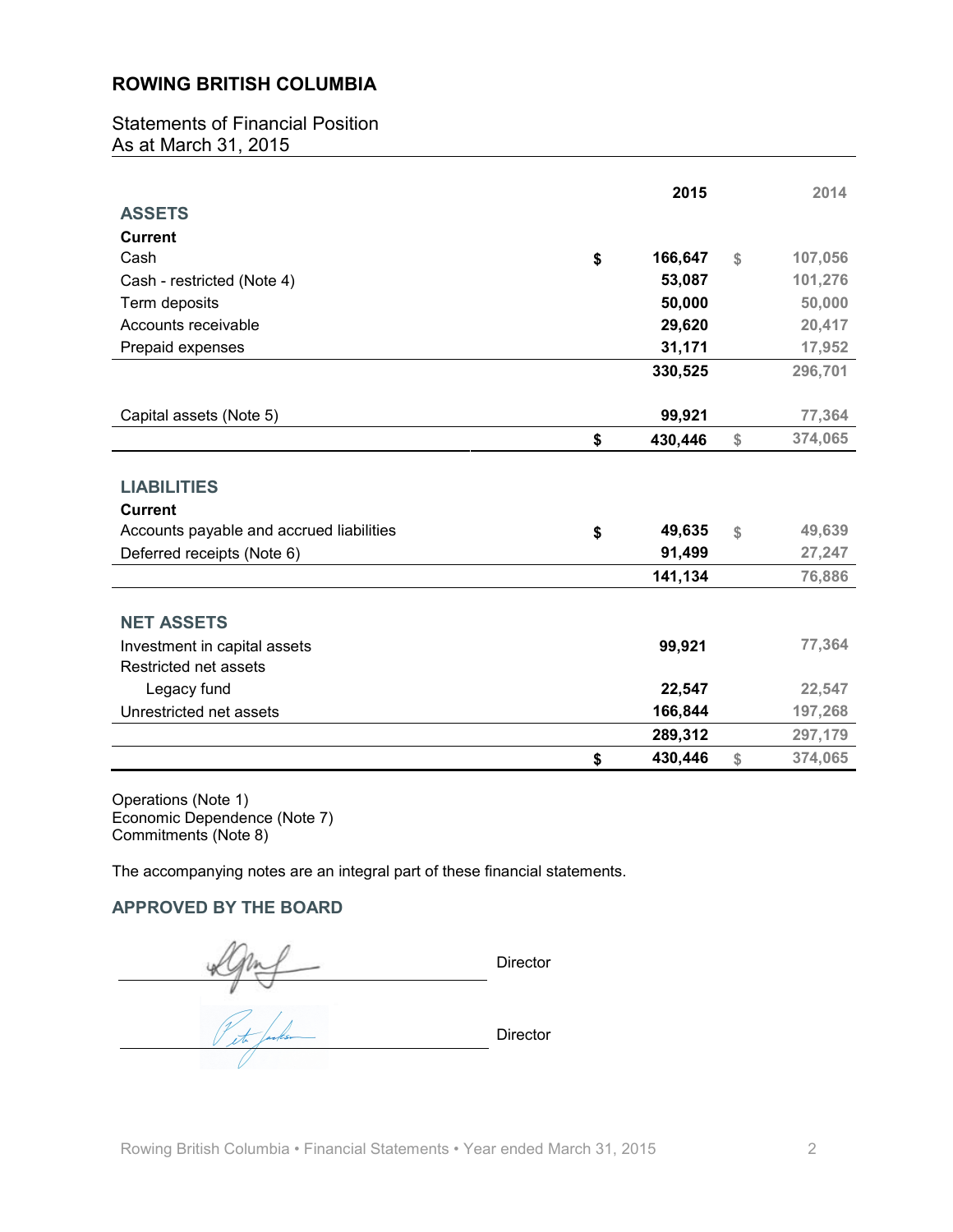**Statements of Financial Position** As at March 31, 2015

|                                          | 2015          | 2014          |
|------------------------------------------|---------------|---------------|
| <b>ASSETS</b>                            |               |               |
| <b>Current</b>                           |               |               |
| Cash                                     | \$<br>166,647 | \$<br>107,056 |
| Cash - restricted (Note 4)               | 53,087        | 101,276       |
| Term deposits                            | 50,000        | 50,000        |
| Accounts receivable                      | 29,620        | 20,417        |
| Prepaid expenses                         | 31,171        | 17,952        |
|                                          | 330,525       | 296,701       |
|                                          |               |               |
| Capital assets (Note 5)                  | 99,921        | 77,364        |
|                                          | \$<br>430,446 | \$<br>374,065 |
|                                          |               |               |
| <b>LIABILITIES</b>                       |               |               |
| <b>Current</b>                           |               |               |
| Accounts payable and accrued liabilities | \$<br>49,635  | \$<br>49,639  |
| Deferred receipts (Note 6)               | 91,499        | 27,247        |
|                                          | 141,134       | 76,886        |
|                                          |               |               |
| <b>NET ASSETS</b>                        |               |               |
| Investment in capital assets             | 99,921        | 77,364        |
| Restricted net assets                    |               |               |
| Legacy fund                              | 22,547        | 22,547        |
| Unrestricted net assets                  | 166,844       | 197,268       |
|                                          | 289,312       | 297,179       |
|                                          | \$<br>430.446 | \$<br>374.065 |

Operations (Note 1) Economic Dependence (Note 7) Commitments (Note 8)

The accompanying notes are an integral part of these financial statements.

#### **APPROVED BY THE BOARD**

Director K To factor Director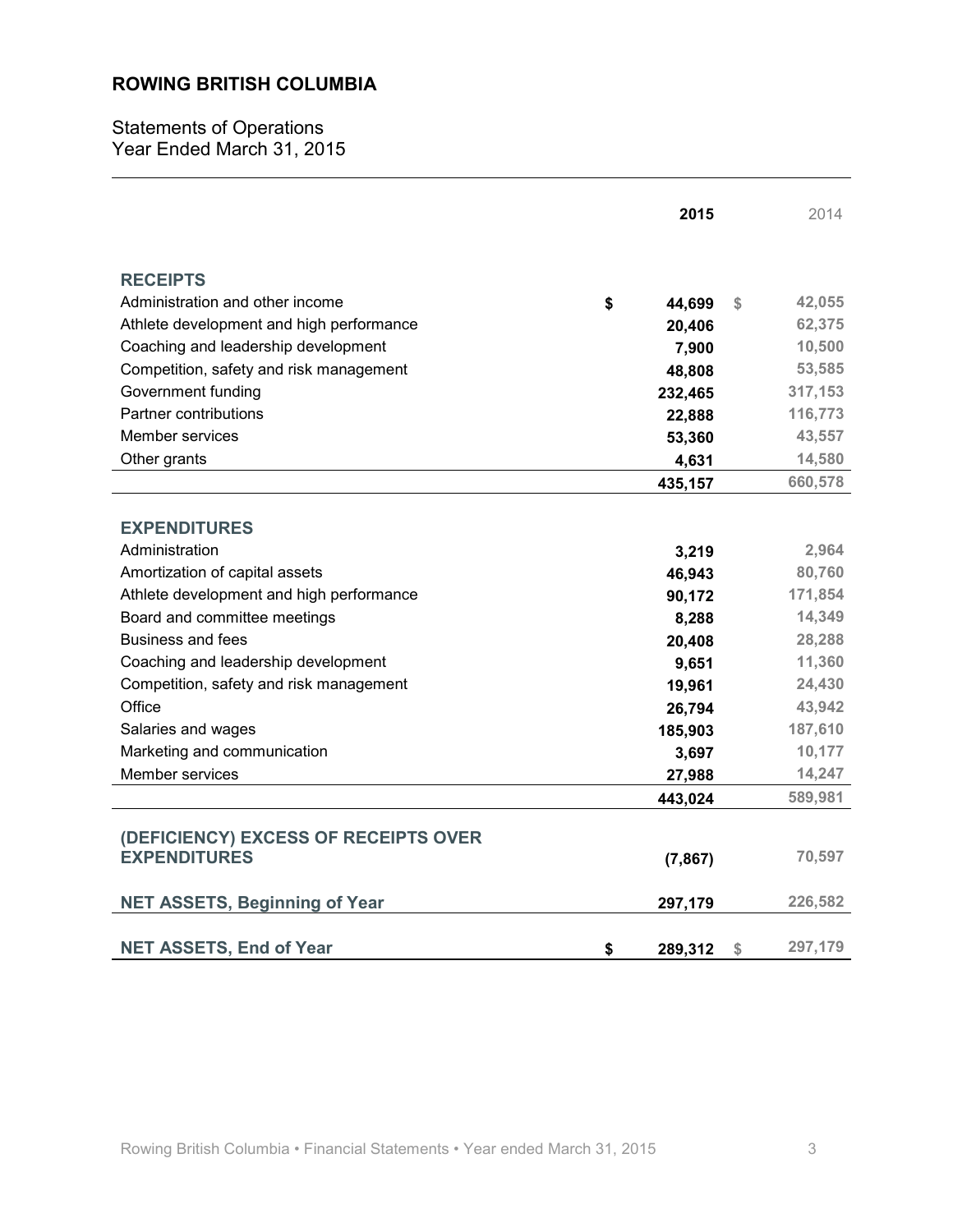**Statements of Operations** Year Ended March 31, 2015

|                                          | 2015          | 2014          |
|------------------------------------------|---------------|---------------|
| <b>RECEIPTS</b>                          |               |               |
| Administration and other income          | \$<br>44,699  | \$<br>42,055  |
| Athlete development and high performance | 20,406        | 62,375        |
| Coaching and leadership development      | 7,900         | 10,500        |
| Competition, safety and risk management  | 48,808        | 53,585        |
| Government funding                       | 232,465       | 317,153       |
| Partner contributions                    | 22,888        | 116,773       |
| Member services                          | 53,360        | 43,557        |
| Other grants                             | 4,631         | 14,580        |
|                                          | 435,157       | 660,578       |
|                                          |               |               |
| <b>EXPENDITURES</b>                      |               |               |
| Administration                           | 3,219         | 2,964         |
| Amortization of capital assets           | 46,943        | 80,760        |
| Athlete development and high performance | 90,172        | 171,854       |
| Board and committee meetings             | 8,288         | 14,349        |
| Business and fees                        | 20,408        | 28,288        |
| Coaching and leadership development      | 9,651         | 11,360        |
| Competition, safety and risk management  | 19,961        | 24,430        |
| Office                                   | 26,794        | 43,942        |
| Salaries and wages                       | 185,903       | 187,610       |
| Marketing and communication              | 3,697         | 10,177        |
| Member services                          | 27,988        | 14,247        |
|                                          | 443,024       | 589,981       |
|                                          |               |               |
| (DEFICIENCY) EXCESS OF RECEIPTS OVER     |               |               |
| <b>EXPENDITURES</b>                      | (7, 867)      | 70,597        |
| <b>NET ASSETS, Beginning of Year</b>     | 297,179       | 226,582       |
|                                          |               |               |
| <b>NET ASSETS, End of Year</b>           | \$<br>289,312 | \$<br>297,179 |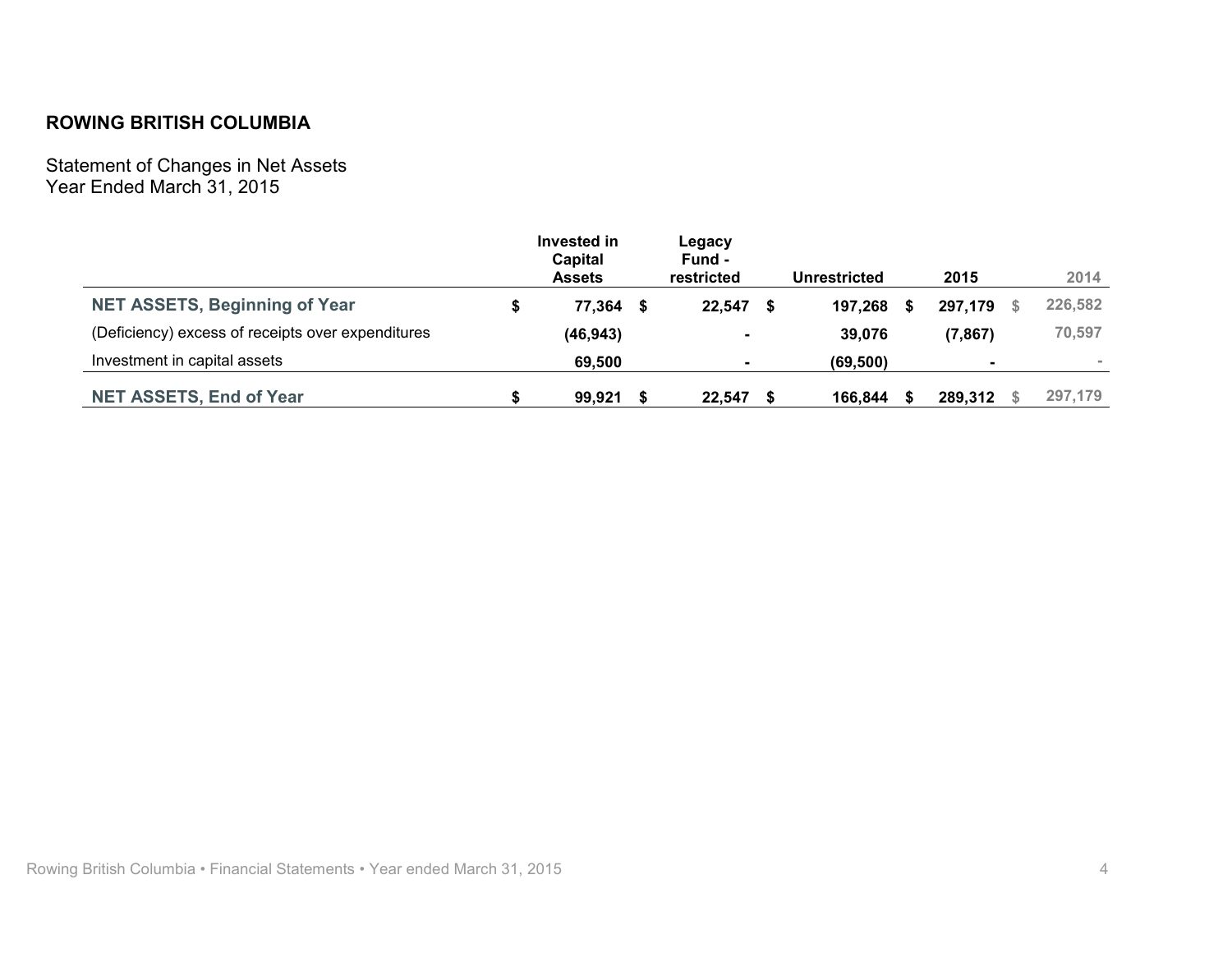Statement of Changes in Net Assets<br>Year Ended March 31, 2015

|                                                   | Invested in<br><b>Capital</b><br><b>Assets</b> | Legacy<br>Fund -<br>restricted |   | Unrestricted |   | 2015                     | 2014    |
|---------------------------------------------------|------------------------------------------------|--------------------------------|---|--------------|---|--------------------------|---------|
| <b>NET ASSETS, Beginning of Year</b>              | 77,364 \$                                      | 22.547                         | S | 197,268      | S | 297,179                  | 226,582 |
| (Deficiency) excess of receipts over expenditures | (46, 943)                                      | $\blacksquare$                 |   | 39,076       |   | (7, 867)                 | 70,597  |
| Investment in capital assets                      | 69,500                                         | $\blacksquare$                 |   | (69, 500)    |   | $\overline{\phantom{a}}$ |         |
| <b>NET ASSETS, End of Year</b>                    | 99.921                                         | 22.547                         |   | 166.844      |   | 289,312                  | 297.179 |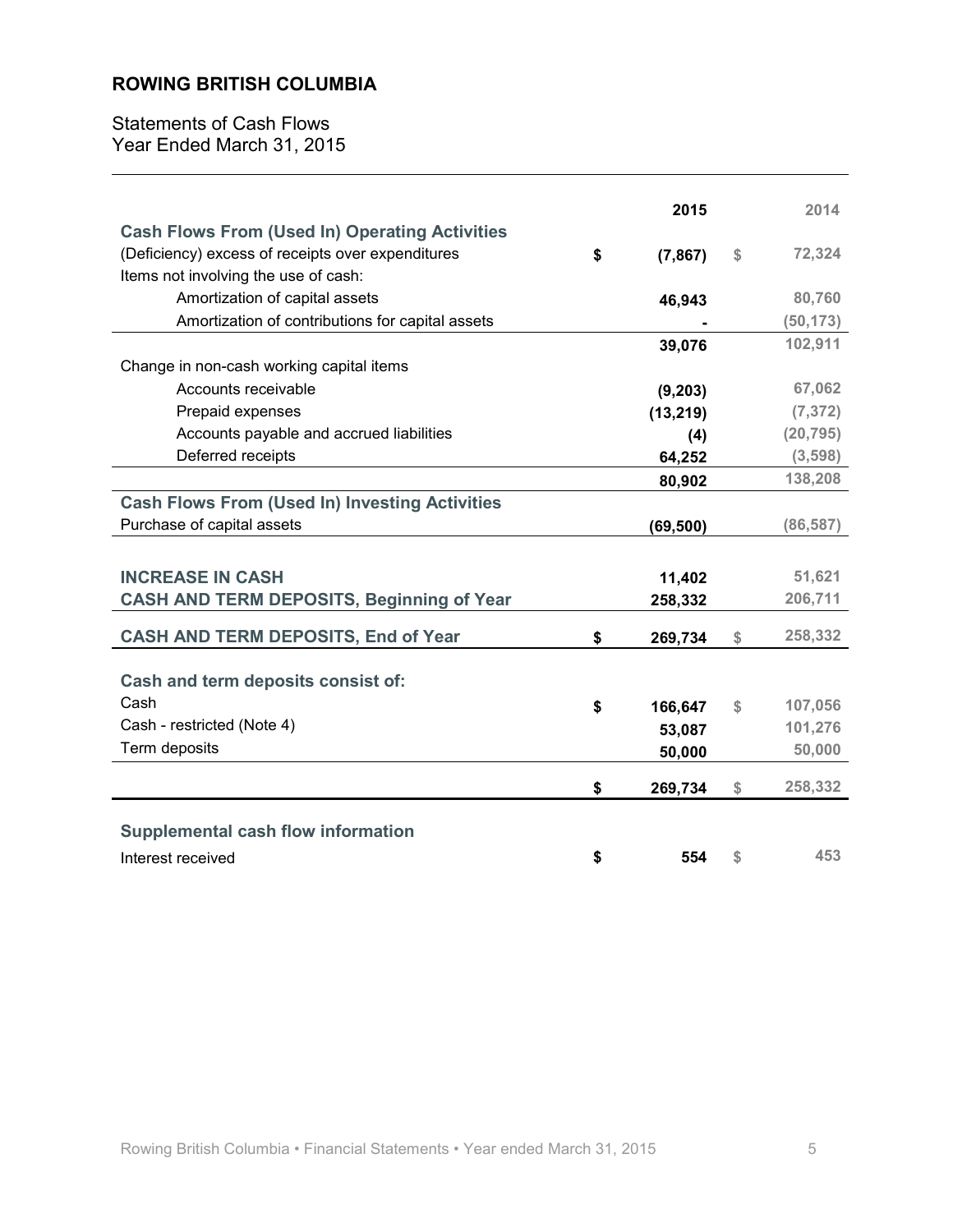**Statements of Cash Flows** Year Ended March 31, 2015

|                                                       | 2015           |    | 2014      |
|-------------------------------------------------------|----------------|----|-----------|
| <b>Cash Flows From (Used In) Operating Activities</b> |                |    |           |
| (Deficiency) excess of receipts over expenditures     | \$<br>(7, 867) | \$ | 72,324    |
| Items not involving the use of cash:                  |                |    |           |
| Amortization of capital assets                        | 46,943         |    | 80,760    |
| Amortization of contributions for capital assets      |                |    | (50, 173) |
|                                                       | 39,076         |    | 102,911   |
| Change in non-cash working capital items              |                |    |           |
| Accounts receivable                                   | (9, 203)       |    | 67,062    |
| Prepaid expenses                                      | (13, 219)      |    | (7, 372)  |
| Accounts payable and accrued liabilities              | (4)            |    | (20, 795) |
| Deferred receipts                                     | 64,252         |    | (3, 598)  |
|                                                       | 80,902         |    | 138,208   |
| <b>Cash Flows From (Used In) Investing Activities</b> |                |    |           |
| Purchase of capital assets                            | (69, 500)      |    | (86, 587) |
|                                                       |                |    |           |
| <b>INCREASE IN CASH</b>                               | 11,402         |    | 51,621    |
| <b>CASH AND TERM DEPOSITS, Beginning of Year</b>      | 258,332        |    | 206,711   |
|                                                       |                |    |           |
| <b>CASH AND TERM DEPOSITS, End of Year</b>            | \$<br>269,734  | \$ | 258,332   |
|                                                       |                |    |           |
| Cash and term deposits consist of:                    |                |    |           |
| Cash                                                  | \$<br>166,647  | \$ | 107,056   |
| Cash - restricted (Note 4)                            | 53,087         |    | 101,276   |
| Term deposits                                         | 50,000         |    | 50,000    |
|                                                       | \$<br>269,734  | \$ | 258,332   |
|                                                       |                |    |           |
| <b>Supplemental cash flow information</b>             |                |    |           |
| Interest received                                     | \$<br>554      | S  | 453       |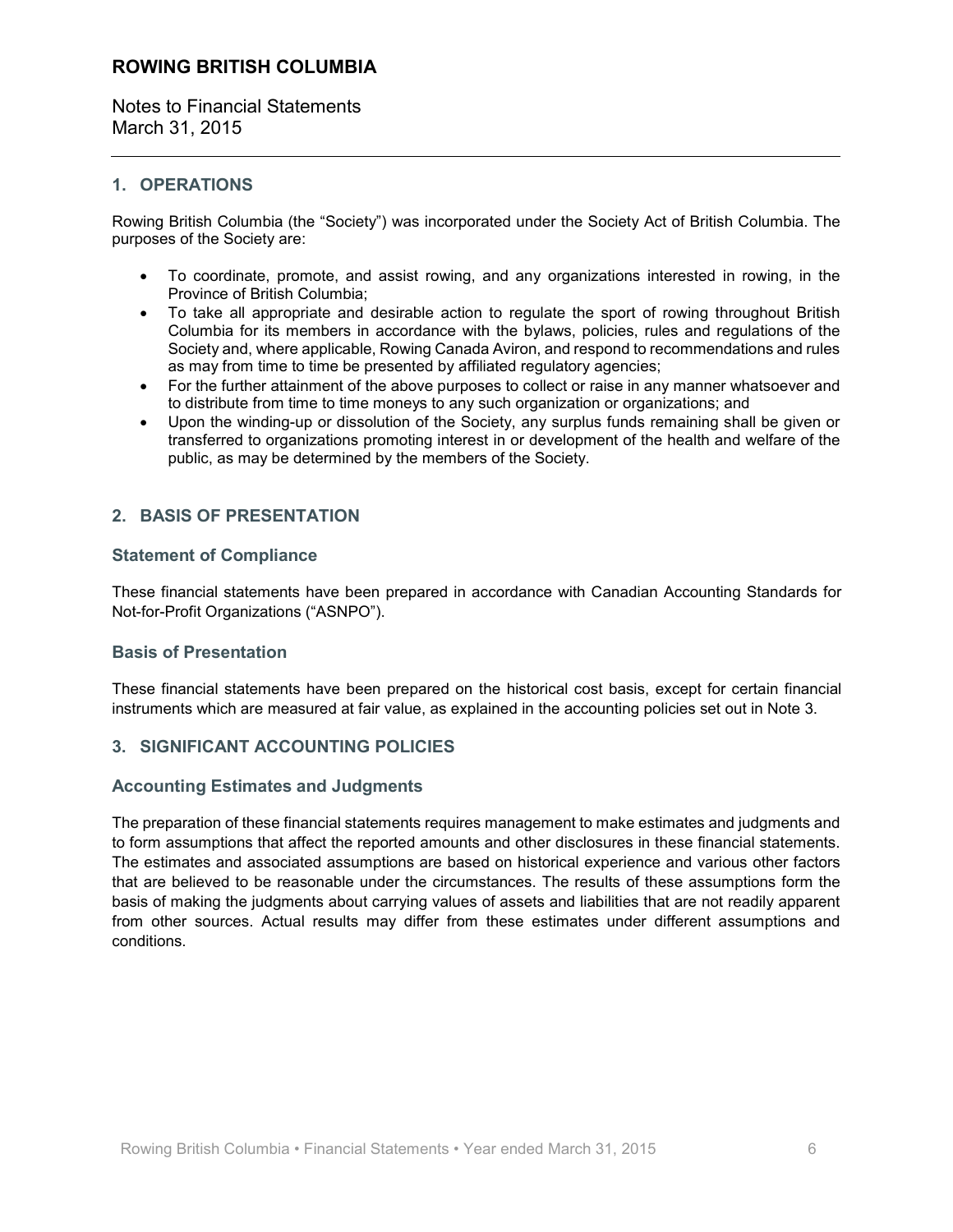Notes to Financial Statements March 31, 2015

#### 1. OPERATIONS

Rowing British Columbia (the "Society") was incorporated under the Society Act of British Columbia. The purposes of the Society are:

- To coordinate, promote, and assist rowing, and any organizations interested in rowing, in the  $\bullet$ Province of British Columbia;
- To take all appropriate and desirable action to regulate the sport of rowing throughout British  $\bullet$ Columbia for its members in accordance with the bylaws, policies, rules and regulations of the Society and, where applicable, Rowing Canada Aviron, and respond to recommendations and rules as may from time to time be presented by affiliated regulatory agencies;
- For the further attainment of the above purposes to collect or raise in any manner whatsoever and to distribute from time to time moneys to any such organization or organizations; and
- Upon the winding-up or dissolution of the Society, any surplus funds remaining shall be given or transferred to organizations promoting interest in or development of the health and welfare of the public, as may be determined by the members of the Society.

### 2. BASIS OF PRESENTATION

#### **Statement of Compliance**

These financial statements have been prepared in accordance with Canadian Accounting Standards for Not-for-Profit Organizations ("ASNPO").

#### **Basis of Presentation**

These financial statements have been prepared on the historical cost basis, except for certain financial instruments which are measured at fair value, as explained in the accounting policies set out in Note 3.

#### 3. SIGNIFICANT ACCOUNTING POLICIES

#### **Accounting Estimates and Judgments**

The preparation of these financial statements requires management to make estimates and judgments and to form assumptions that affect the reported amounts and other disclosures in these financial statements. The estimates and associated assumptions are based on historical experience and various other factors that are believed to be reasonable under the circumstances. The results of these assumptions form the basis of making the judgments about carrying values of assets and liabilities that are not readily apparent from other sources. Actual results may differ from these estimates under different assumptions and conditions.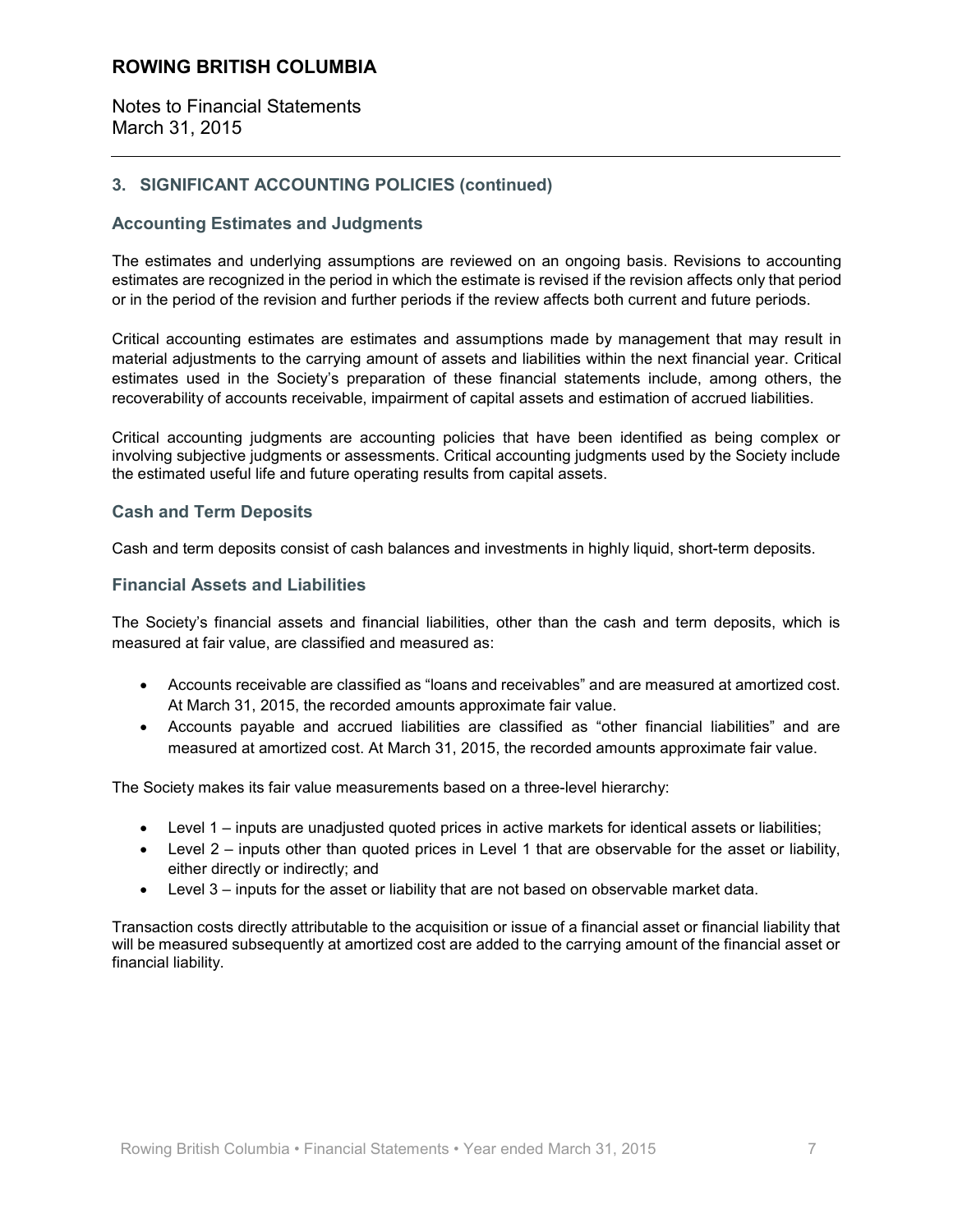Notes to Financial Statements March 31, 2015

### 3. SIGNIFICANT ACCOUNTING POLICIES (continued)

#### **Accounting Estimates and Judgments**

The estimates and underlying assumptions are reviewed on an ongoing basis. Revisions to accounting estimates are recognized in the period in which the estimate is revised if the revision affects only that period or in the period of the revision and further periods if the review affects both current and future periods.

Critical accounting estimates are estimates and assumptions made by management that may result in material adjustments to the carrying amount of assets and liabilities within the next financial year. Critical estimates used in the Society's preparation of these financial statements include, among others, the recoverability of accounts receivable, impairment of capital assets and estimation of accrued liabilities.

Critical accounting judgments are accounting policies that have been identified as being complex or involving subjective judgments or assessments. Critical accounting judgments used by the Society include the estimated useful life and future operating results from capital assets.

#### **Cash and Term Deposits**

Cash and term deposits consist of cash balances and investments in highly liquid, short-term deposits.

#### **Financial Assets and Liabilities**

The Society's financial assets and financial liabilities, other than the cash and term deposits, which is measured at fair value, are classified and measured as:

- Accounts receivable are classified as "loans and receivables" and are measured at amortized cost. At March 31, 2015, the recorded amounts approximate fair value.
- Accounts payable and accrued liabilities are classified as "other financial liabilities" and are measured at amortized cost. At March 31, 2015, the recorded amounts approximate fair value.

The Society makes its fair value measurements based on a three-level hierarchy:

- Level 1 inputs are unadjusted quoted prices in active markets for identical assets or liabilities;
- Level  $2$  inputs other than quoted prices in Level 1 that are observable for the asset or liability, either directly or indirectly; and
- Level 3 inputs for the asset or liability that are not based on observable market data.

Transaction costs directly attributable to the acquisition or issue of a financial asset or financial liability that will be measured subsequently at amortized cost are added to the carrying amount of the financial asset or financial liability.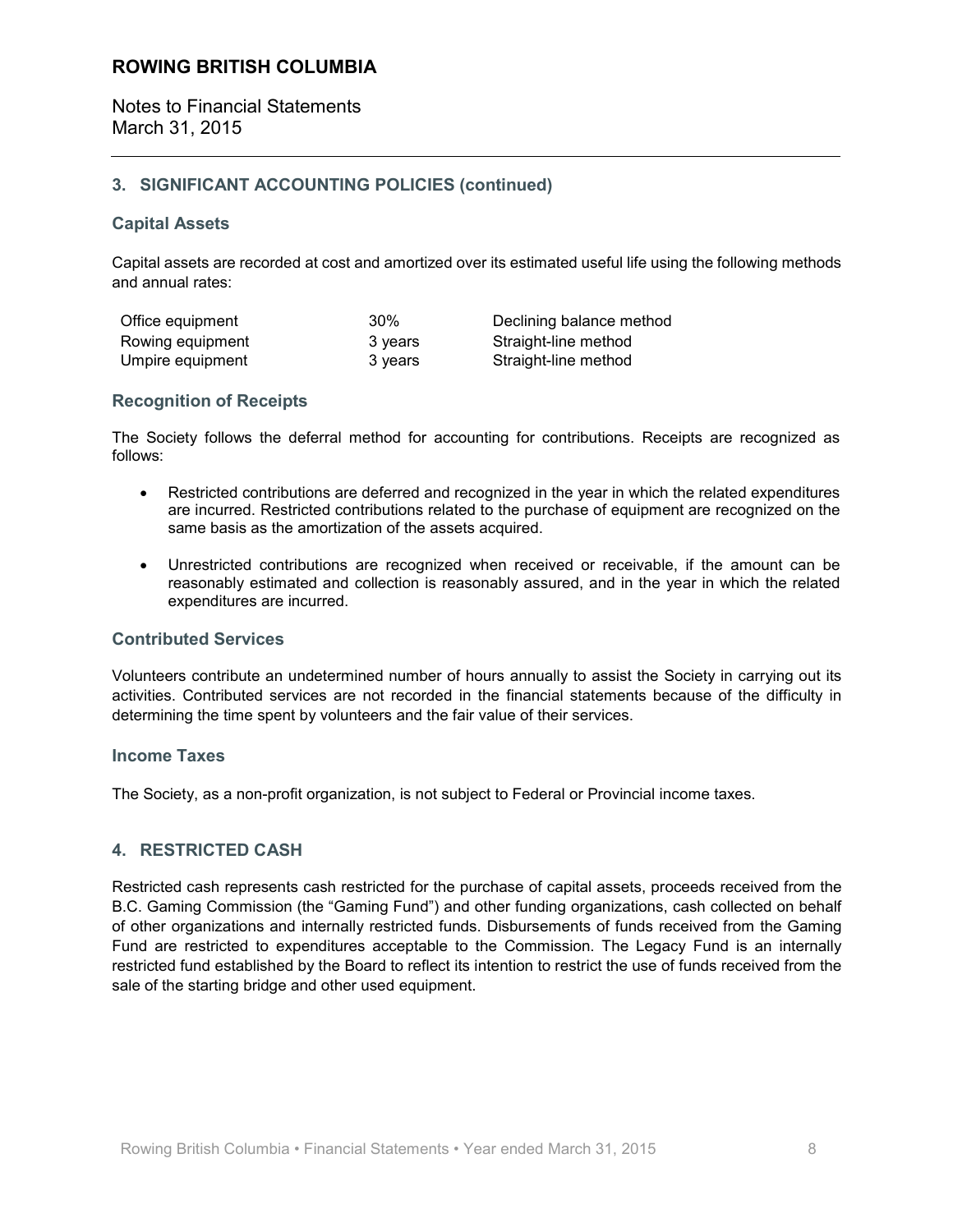Notes to Financial Statements March 31, 2015

### 3. SIGNIFICANT ACCOUNTING POLICIES (continued)

#### **Capital Assets**

Capital assets are recorded at cost and amortized over its estimated useful life using the following methods and annual rates:

| Office equipment | 30%     |
|------------------|---------|
| Rowing equipment | 3 years |
| Umpire equipment | 3 years |

Declining balance method Straight-line method Straight-line method

#### **Recognition of Receipts**

The Society follows the deferral method for accounting for contributions. Receipts are recognized as follows:

- Restricted contributions are deferred and recognized in the year in which the related expenditures  $\bullet$ are incurred. Restricted contributions related to the purchase of equipment are recognized on the same basis as the amortization of the assets acquired.
- Unrestricted contributions are recognized when received or receivable, if the amount can be reasonably estimated and collection is reasonably assured, and in the year in which the related expenditures are incurred.

#### **Contributed Services**

Volunteers contribute an undetermined number of hours annually to assist the Society in carrying out its activities. Contributed services are not recorded in the financial statements because of the difficulty in determining the time spent by volunteers and the fair value of their services.

#### **Income Taxes**

The Society, as a non-profit organization, is not subject to Federal or Provincial income taxes.

#### **4. RESTRICTED CASH**

Restricted cash represents cash restricted for the purchase of capital assets, proceeds received from the B.C. Gaming Commission (the "Gaming Fund") and other funding organizations, cash collected on behalf of other organizations and internally restricted funds. Disbursements of funds received from the Gaming Fund are restricted to expenditures acceptable to the Commission. The Legacy Fund is an internally restricted fund established by the Board to reflect its intention to restrict the use of funds received from the sale of the starting bridge and other used equipment.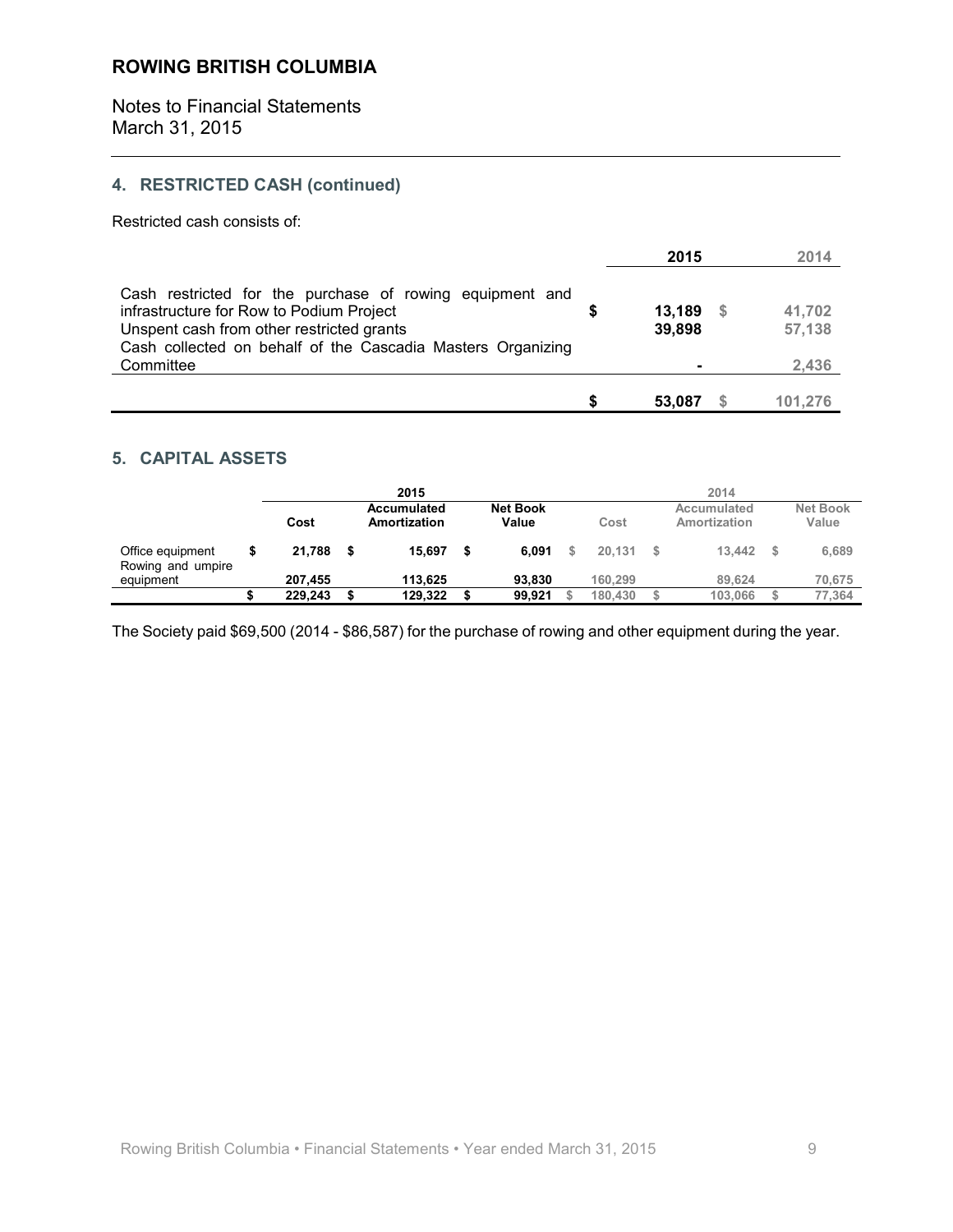**Notes to Financial Statements** March 31, 2015

# 4. RESTRICTED CASH (continued)

Restricted cash consists of:

|                                                                                                                                                                                                                  | 2015                    | 2014             |
|------------------------------------------------------------------------------------------------------------------------------------------------------------------------------------------------------------------|-------------------------|------------------|
| Cash restricted for the purchase of rowing equipment and<br>infrastructure for Row to Podium Project<br>Unspent cash from other restricted grants<br>Cash collected on behalf of the Cascadia Masters Organizing | 13,189<br>- S<br>39,898 | 41,702<br>57,138 |
| Committee                                                                                                                                                                                                        |                         | 2,436            |
|                                                                                                                                                                                                                  | 53,087                  | 101.276          |

#### **5. CAPITAL ASSETS**

|                                       | 2015 |                                                                 |      |         |  |        |  |         | 2014 |                             |                          |
|---------------------------------------|------|-----------------------------------------------------------------|------|---------|--|--------|--|---------|------|-----------------------------|--------------------------|
|                                       |      | <b>Net Book</b><br>Accumulated<br>Cost<br>Value<br>Amortization |      |         |  |        |  | Cost    |      | Accumulated<br>Amortization | <b>Net Book</b><br>Value |
| Office equipment<br>Rowing and umpire |      | 21.788                                                          | - 56 | 15.697  |  | 6.091  |  | 20.131  | S.   | 13.442                      | 6,689                    |
| equipment                             |      | 207.455                                                         |      | 113.625 |  | 93.830 |  | 160.299 |      | 89.624                      | 70,675                   |
|                                       |      | 229.243                                                         |      | 129.322 |  | 99.921 |  | 180.430 |      | 103.066                     | 77,364                   |

The Society paid \$69,500 (2014 - \$86,587) for the purchase of rowing and other equipment during the year.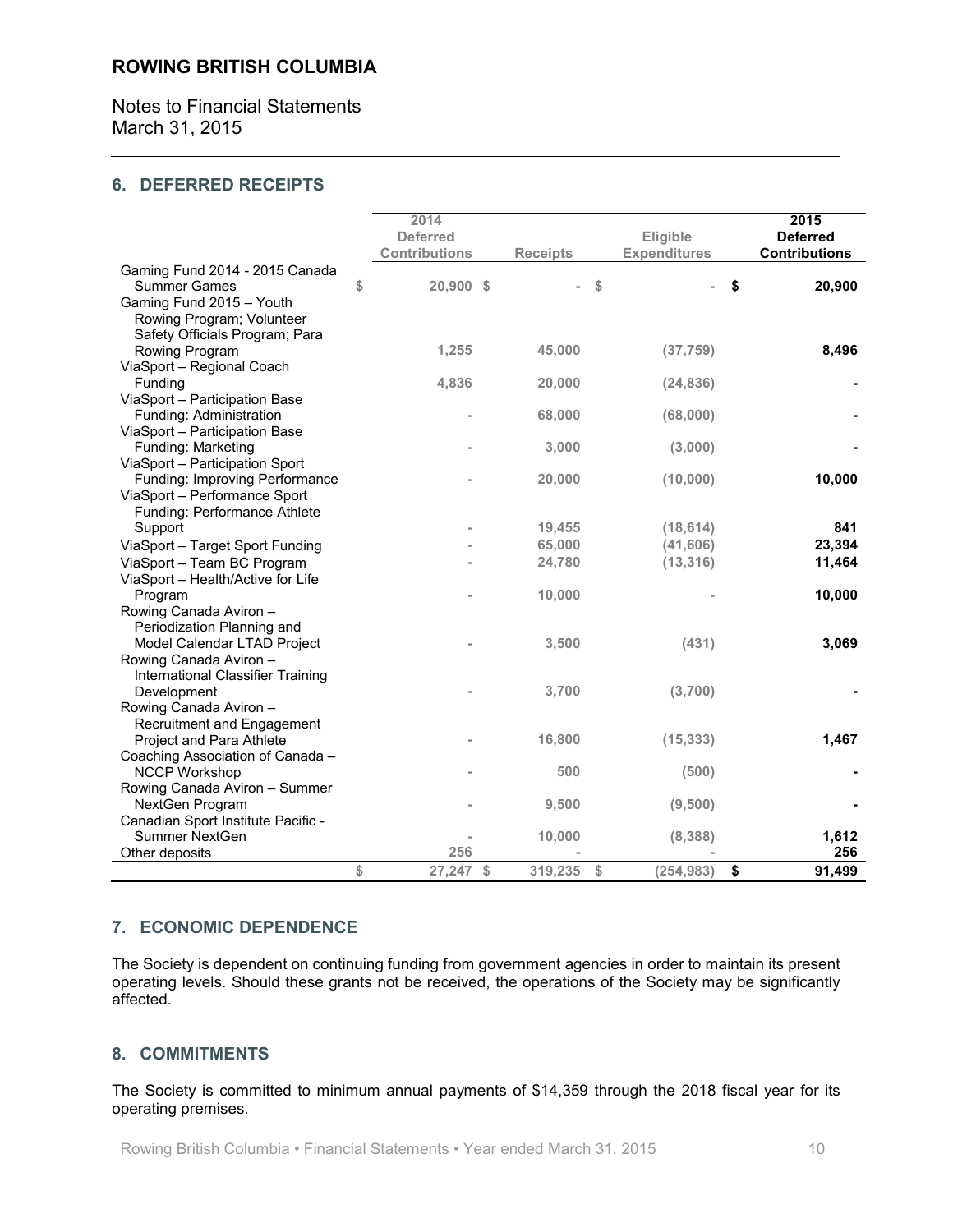Notes to Financial Statements March 31, 2015

#### **6. DEFERRED RECEIPTS**

|                                                                | 2014                 |                       |                     |                      |
|----------------------------------------------------------------|----------------------|-----------------------|---------------------|----------------------|
|                                                                |                      |                       |                     | 2015                 |
|                                                                | <b>Deferred</b>      |                       | Eligible            | <b>Deferred</b>      |
|                                                                | <b>Contributions</b> | <b>Receipts</b>       | <b>Expenditures</b> | <b>Contributions</b> |
| Gaming Fund 2014 - 2015 Canada                                 |                      |                       |                     |                      |
| <b>Summer Games</b>                                            | \$<br>20,900 \$      |                       | $\mathsf{\$}$       | \$<br>20,900         |
| Gaming Fund 2015 - Youth                                       |                      |                       |                     |                      |
| Rowing Program; Volunteer                                      |                      |                       |                     |                      |
| Safety Officials Program; Para                                 |                      |                       |                     |                      |
| Rowing Program                                                 | 1,255                | 45,000                | (37, 759)           | 8,496                |
| ViaSport - Regional Coach                                      |                      |                       |                     |                      |
| Funding                                                        | 4,836                | 20,000                | (24, 836)           |                      |
| ViaSport - Participation Base                                  |                      |                       |                     |                      |
| Funding: Administration                                        |                      | 68,000                | (68,000)            |                      |
| ViaSport - Participation Base                                  |                      |                       |                     |                      |
| Funding: Marketing                                             |                      | 3,000                 | (3,000)             |                      |
| ViaSport - Participation Sport                                 |                      | 20,000                | (10,000)            | 10,000               |
| Funding: Improving Performance<br>ViaSport - Performance Sport |                      |                       |                     |                      |
| Funding: Performance Athlete                                   |                      |                       |                     |                      |
|                                                                |                      | 19,455                | (18, 614)           | 841                  |
| Support                                                        |                      |                       |                     | 23,394               |
| ViaSport - Target Sport Funding                                |                      | 65,000                | (41, 606)           |                      |
| ViaSport - Team BC Program                                     |                      | 24,780                | (13, 316)           | 11,464               |
| ViaSport - Health/Active for Life                              |                      |                       |                     |                      |
| Program                                                        |                      | 10,000                |                     | 10,000               |
| Rowing Canada Aviron -                                         |                      |                       |                     |                      |
| Periodization Planning and                                     |                      |                       |                     |                      |
| Model Calendar LTAD Project                                    |                      | 3,500                 | (431)               | 3,069                |
| Rowing Canada Aviron -                                         |                      |                       |                     |                      |
| International Classifier Training<br>Development               |                      | 3,700                 |                     |                      |
| Rowing Canada Aviron -                                         |                      |                       | (3,700)             |                      |
| Recruitment and Engagement                                     |                      |                       |                     |                      |
| Project and Para Athlete                                       |                      | 16,800                | (15, 333)           | 1,467                |
| Coaching Association of Canada -                               |                      |                       |                     |                      |
| <b>NCCP Workshop</b>                                           |                      | 500                   | (500)               |                      |
| Rowing Canada Aviron - Summer                                  |                      |                       |                     |                      |
| NextGen Program                                                |                      | 9,500                 | (9,500)             |                      |
| Canadian Sport Institute Pacific -                             |                      |                       |                     |                      |
| Summer NextGen                                                 |                      | 10,000                | (8, 388)            | 1,612                |
| Other deposits                                                 | 256                  |                       |                     | 256                  |
|                                                                | \$<br>27,247         | $\sqrt{2}$<br>319,235 | \$<br>(254, 983)    | \$<br>91,499         |
|                                                                |                      |                       |                     |                      |

#### 7. ECONOMIC DEPENDENCE

The Society is dependent on continuing funding from government agencies in order to maintain its present operating levels. Should these grants not be received, the operations of the Society may be significantly affected.

### 8. COMMITMENTS

The Society is committed to minimum annual payments of \$14,359 through the 2018 fiscal year for its operating premises.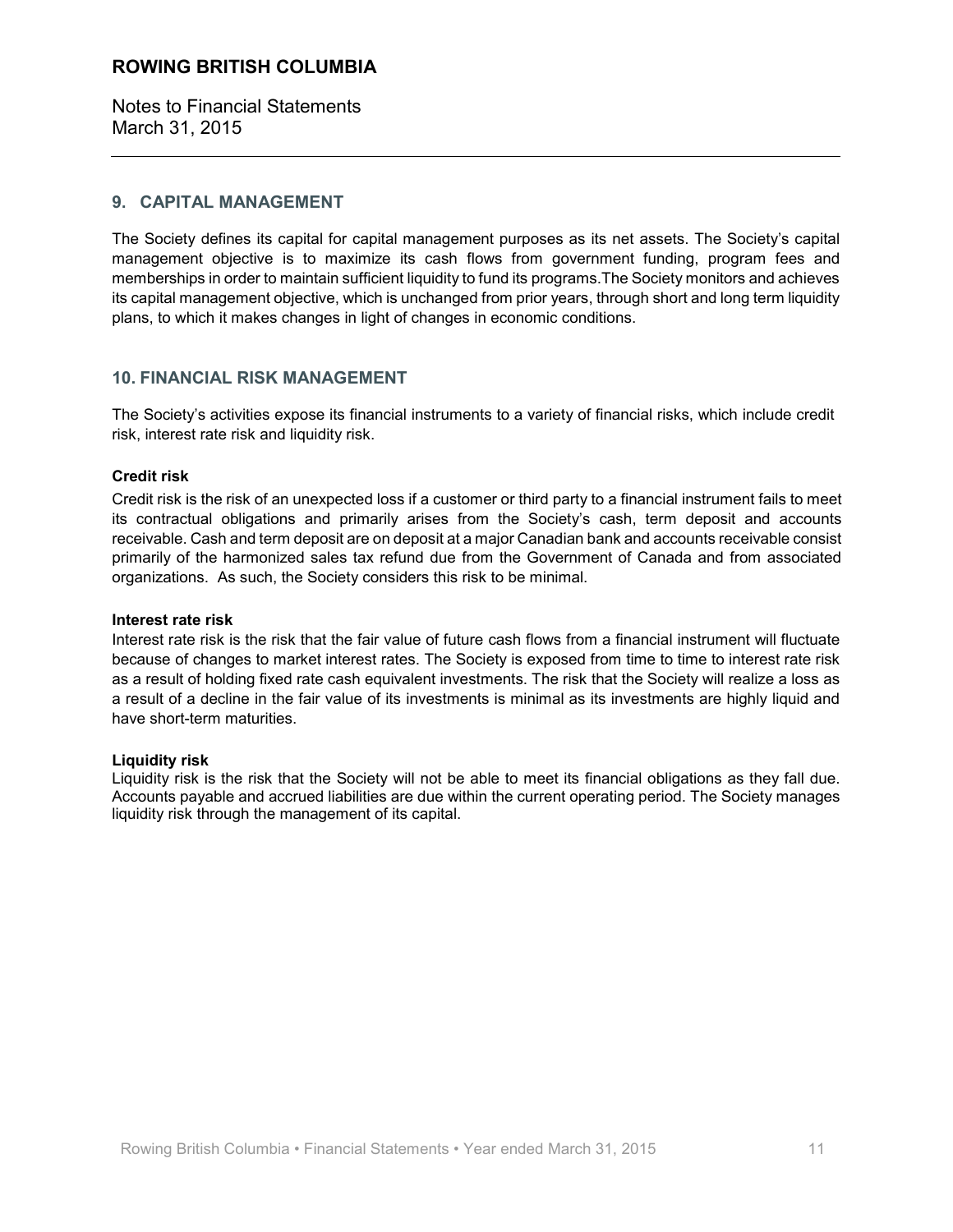Notes to Financial Statements March 31, 2015

#### 9. CAPITAL MANAGEMENT

The Society defines its capital for capital management purposes as its net assets. The Society's capital management objective is to maximize its cash flows from government funding, program fees and memberships in order to maintain sufficient liquidity to fund its programs. The Society monitors and achieves its capital management objective, which is unchanged from prior years, through short and long term liquidity plans, to which it makes changes in light of changes in economic conditions.

#### **10. FINANCIAL RISK MANAGEMENT**

The Society's activities expose its financial instruments to a variety of financial risks, which include credit risk, interest rate risk and liquidity risk.

#### **Credit risk**

Credit risk is the risk of an unexpected loss if a customer or third party to a financial instrument fails to meet its contractual obligations and primarily arises from the Society's cash, term deposit and accounts receivable. Cash and term deposit are on deposit at a major Canadian bank and accounts receivable consist primarily of the harmonized sales tax refund due from the Government of Canada and from associated organizations. As such, the Society considers this risk to be minimal.

#### Interest rate risk

Interest rate risk is the risk that the fair value of future cash flows from a financial instrument will fluctuate because of changes to market interest rates. The Society is exposed from time to time to interest rate risk as a result of holding fixed rate cash equivalent investments. The risk that the Society will realize a loss as a result of a decline in the fair value of its investments is minimal as its investments are highly liquid and have short-term maturities.

#### **Liquidity risk**

Liquidity risk is the risk that the Society will not be able to meet its financial obligations as they fall due. Accounts payable and accrued liabilities are due within the current operating period. The Society manages liquidity risk through the management of its capital.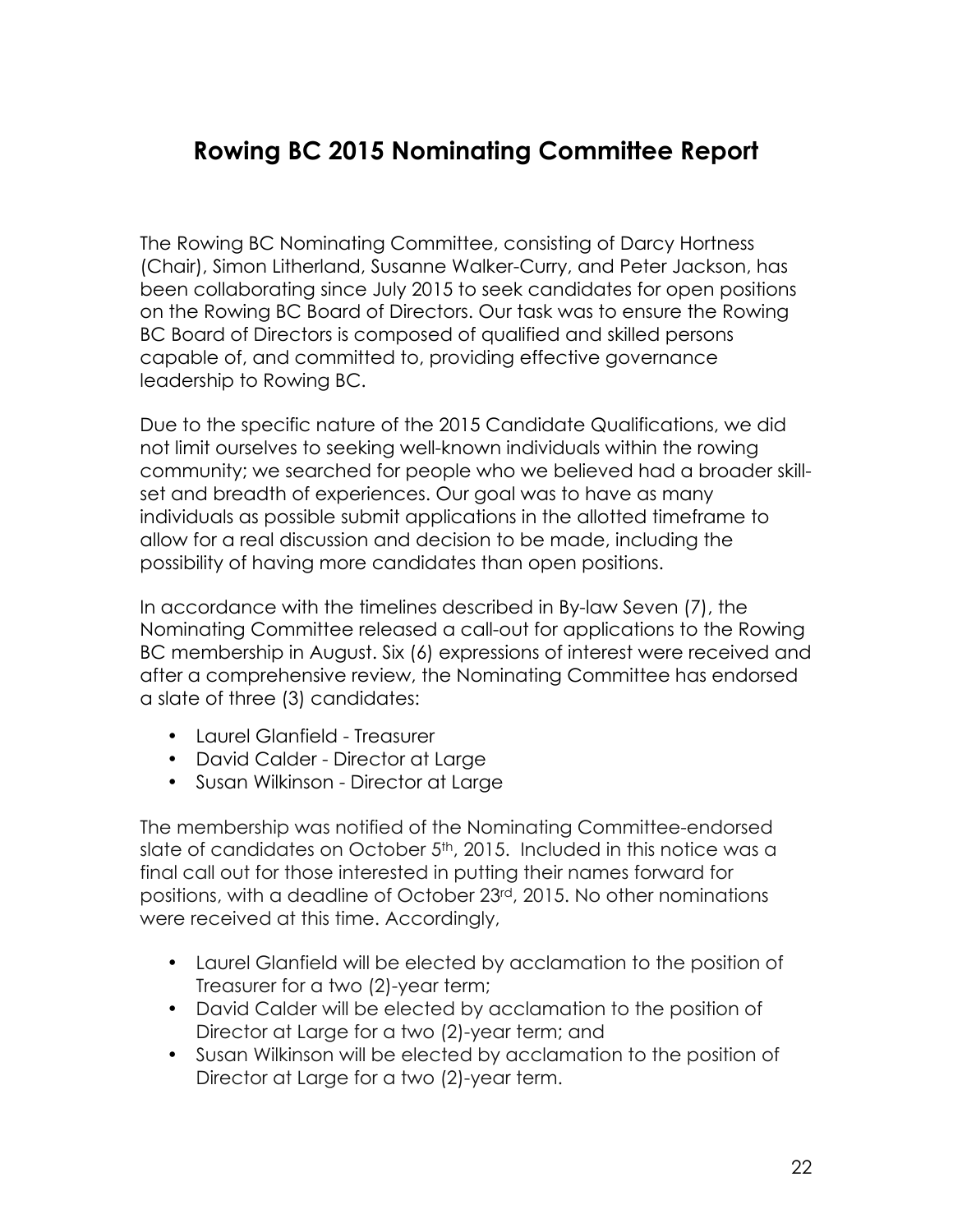# <span id="page-22-0"></span>**Rowing BC 2015 Nominating Committee Report**

The Rowing BC Nominating Committee, consisting of Darcy Hortness (Chair), Simon Litherland, Susanne Walker-Curry, and Peter Jackson, has been collaborating since July 2015 to seek candidates for open positions on the Rowing BC Board of Directors. Our task was to ensure the Rowing BC Board of Directors is composed of qualified and skilled persons capable of, and committed to, providing effective governance leadership to Rowing BC.

Due to the specific nature of the 2015 Candidate Qualifications, we did not limit ourselves to seeking well-known individuals within the rowing community; we searched for people who we believed had a broader skillset and breadth of experiences. Our goal was to have as many individuals as possible submit applications in the allotted timeframe to allow for a real discussion and decision to be made, including the possibility of having more candidates than open positions.

In accordance with the timelines described in By-law Seven (7), the Nominating Committee released a call-out for applications to the Rowing BC membership in August. Six (6) expressions of interest were received and after a comprehensive review, the Nominating Committee has endorsed a slate of three (3) candidates:

- Laurel Glanfield Treasurer
- David Calder Director at Large
- Susan Wilkinson Director at Large

The membership was notified of the Nominating Committee-endorsed slate of candidates on October 5<sup>th</sup>, 2015. Included in this notice was a final call out for those interested in putting their names forward for positions, with a deadline of October 23rd, 2015. No other nominations were received at this time. Accordingly,

- Laurel Glanfield will be elected by acclamation to the position of Treasurer for a two (2)-year term;
- David Calder will be elected by acclamation to the position of Director at Large for a two (2)-year term; and
- Susan Wilkinson will be elected by acclamation to the position of Director at Large for a two (2)-year term.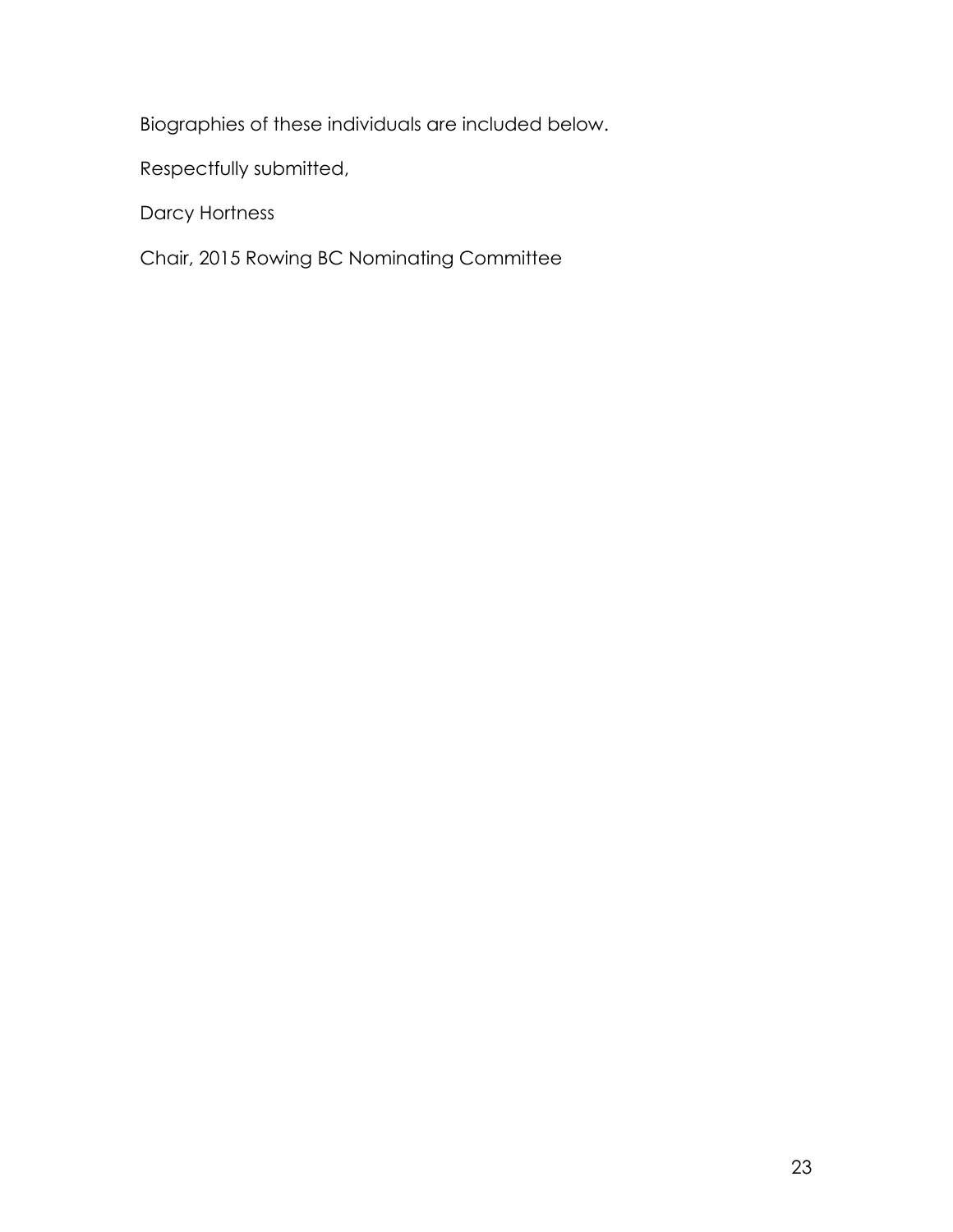Biographies of these individuals are included below.

Respectfully submitted,

Darcy Hortness

Chair, 2015 Rowing BC Nominating Committee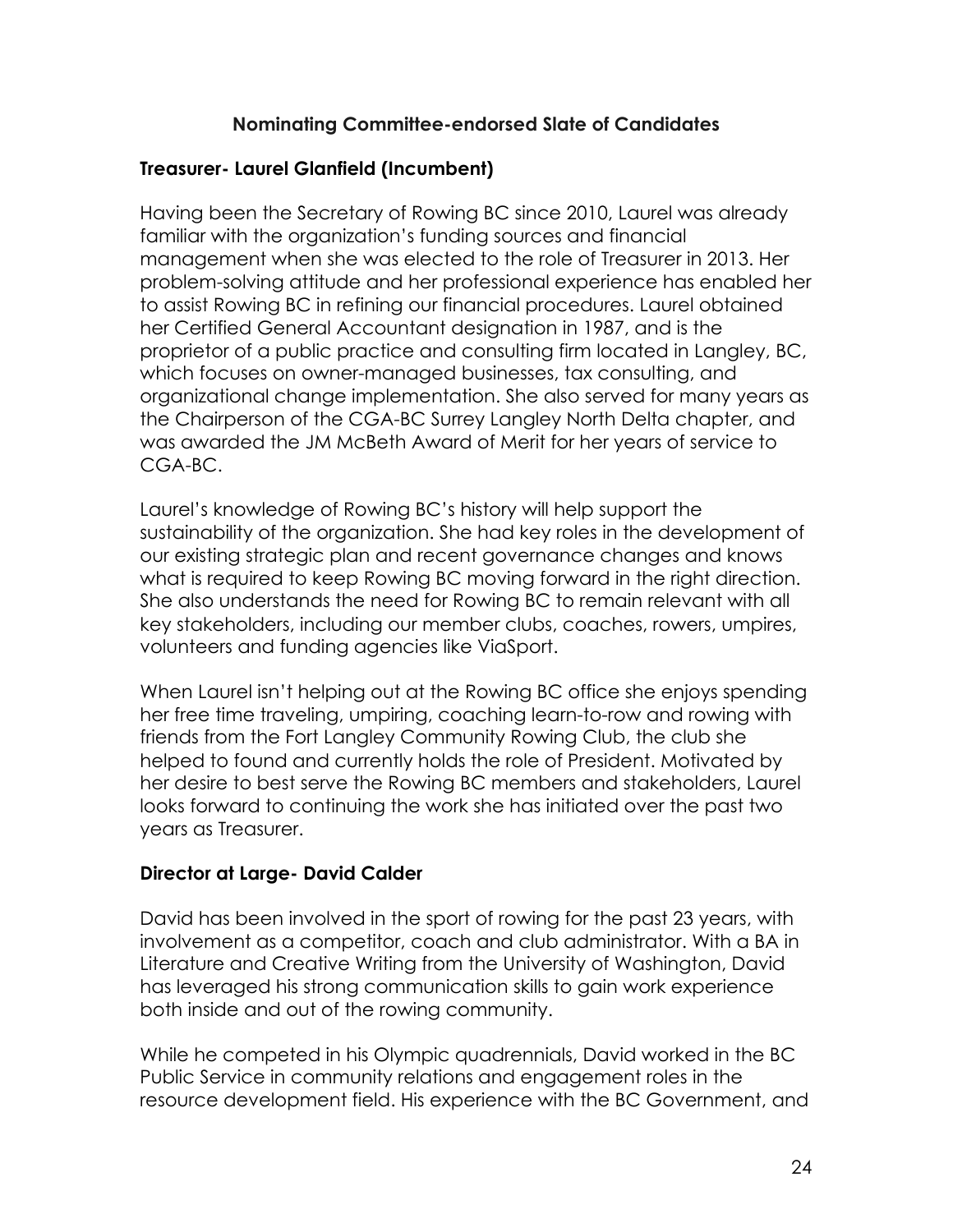# **Nominating Committee-endorsed Slate of Candidates**

# **Treasurer- Laurel Glanfield (Incumbent)**

Having been the Secretary of Rowing BC since 2010, Laurel was already familiar with the organization's funding sources and financial management when she was elected to the role of Treasurer in 2013. Her problem-solving attitude and her professional experience has enabled her to assist Rowing BC in refining our financial procedures. Laurel obtained her Certified General Accountant designation in 1987, and is the proprietor of a public practice and consulting firm located in Langley, BC, which focuses on owner-managed businesses, tax consulting, and organizational change implementation. She also served for many years as the Chairperson of the CGA-BC Surrey Langley North Delta chapter, and was awarded the JM McBeth Award of Merit for her years of service to CGA-BC.

Laurel's knowledge of Rowing BC's history will help support the sustainability of the organization. She had key roles in the development of our existing strategic plan and recent governance changes and knows what is required to keep Rowing BC moving forward in the right direction. She also understands the need for Rowing BC to remain relevant with all key stakeholders, including our member clubs, coaches, rowers, umpires, volunteers and funding agencies like ViaSport.

When Laurel isn't helping out at the Rowing BC office she enjoys spending her free time traveling, umpiring, coaching learn-to-row and rowing with friends from the Fort Langley Community Rowing Club, the club she helped to found and currently holds the role of President. Motivated by her desire to best serve the Rowing BC members and stakeholders, Laurel looks forward to continuing the work she has initiated over the past two years as Treasurer.

# **Director at Large- David Calder**

David has been involved in the sport of rowing for the past 23 years, with involvement as a competitor, coach and club administrator. With a BA in Literature and Creative Writing from the University of Washington, David has leveraged his strong communication skills to gain work experience both inside and out of the rowing community.

While he competed in his Olympic quadrennials, David worked in the BC Public Service in community relations and engagement roles in the resource development field. His experience with the BC Government, and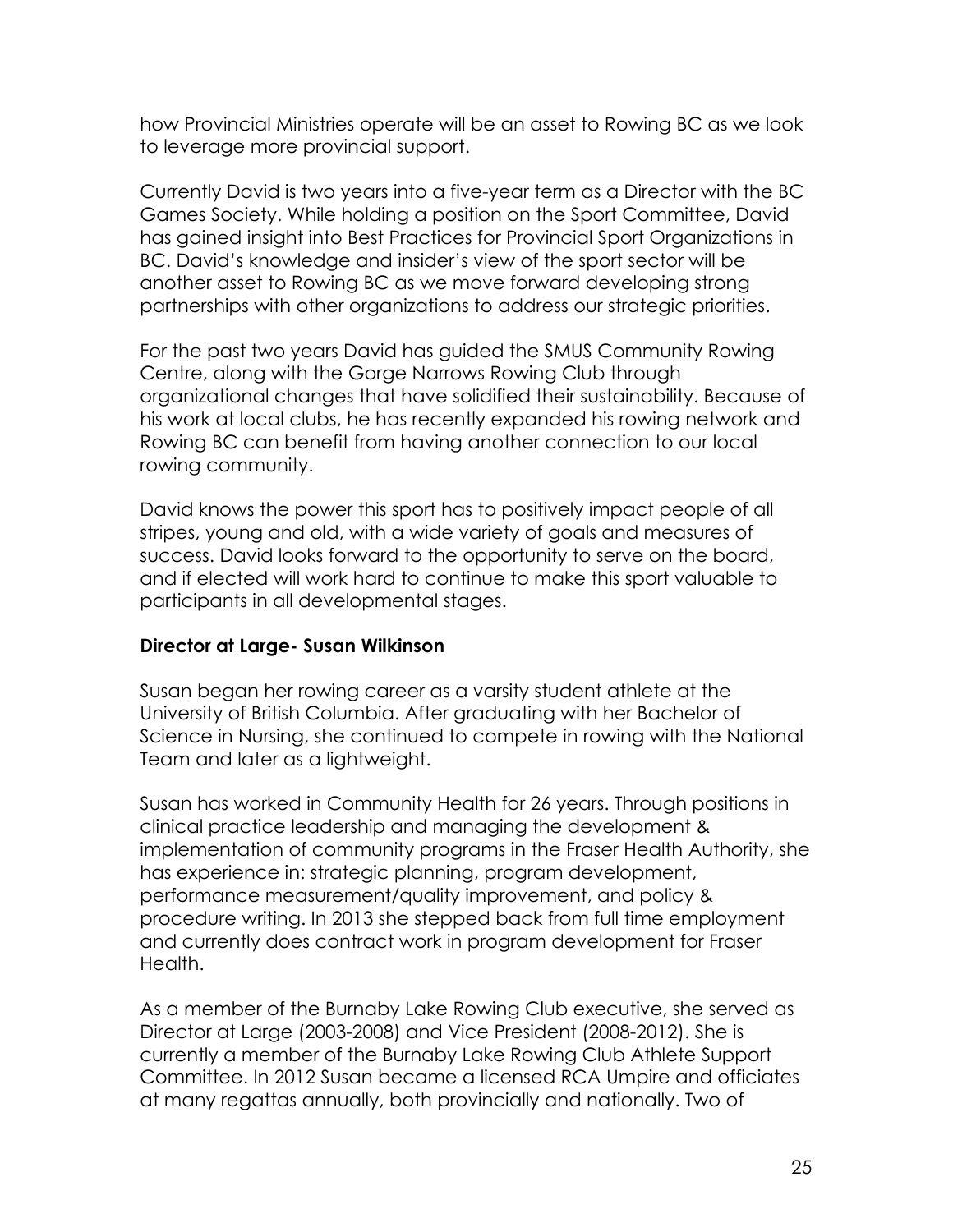how Provincial Ministries operate will be an asset to Rowing BC as we look to leverage more provincial support.

Currently David is two years into a five-year term as a Director with the BC Games Society. While holding a position on the Sport Committee, David has gained insight into Best Practices for Provincial Sport Organizations in BC. David's knowledge and insider's view of the sport sector will be another asset to Rowing BC as we move forward developing strong partnerships with other organizations to address our strategic priorities.

For the past two years David has guided the SMUS Community Rowing Centre, along with the Gorge Narrows Rowing Club through organizational changes that have solidified their sustainability. Because of his work at local clubs, he has recently expanded his rowing network and Rowing BC can benefit from having another connection to our local rowing community.

David knows the power this sport has to positively impact people of all stripes, young and old, with a wide variety of goals and measures of success. David looks forward to the opportunity to serve on the board, and if elected will work hard to continue to make this sport valuable to participants in all developmental stages.

# **Director at Large- Susan Wilkinson**

Susan began her rowing career as a varsity student athlete at the University of British Columbia. After graduating with her Bachelor of Science in Nursing, she continued to compete in rowing with the National Team and later as a lightweight.

Susan has worked in Community Health for 26 years. Through positions in clinical practice leadership and managing the development & implementation of community programs in the Fraser Health Authority, she has experience in: strategic planning, program development, performance measurement/quality improvement, and policy & procedure writing. In 2013 she stepped back from full time employment and currently does contract work in program development for Fraser Health.

As a member of the Burnaby Lake Rowing Club executive, she served as Director at Large (2003-2008) and Vice President (2008-2012). She is currently a member of the Burnaby Lake Rowing Club Athlete Support Committee. In 2012 Susan became a licensed RCA Umpire and officiates at many regattas annually, both provincially and nationally. Two of